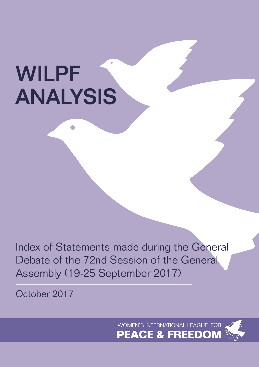# WILPF ANALYSIS

Index of Statements made during the General Debate of the 72nd Session of the General Assembly (19-25 September 2017)

October 2017

 WOMEN'S INTERNATIONAL LEAGUE FOR **PEACE & FREEDOM**

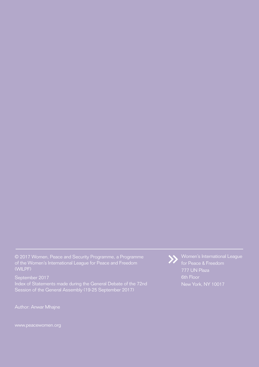© 2017 Women, Peace and Security Programme, a Programme of the Women's International League for Peace and Freedom (WILPF)

September 2017 Index of Statements made during the General Debate of the 72nd Session of the General Assembly (19-25 September 2017)

Author: Anwar Mhajne

www.peacewomen.org



Women's International League for Peace & Freedom 777 UN Plaza 6th Floor New York, NY 10017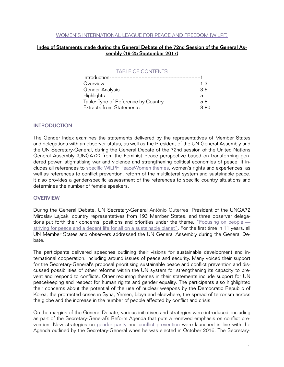## WOMEN'S INTERNATIONAL LEAGUE FOR PEACE AND FREEDOM [WILPF]

# Index of Statements made during the General Debate of the 72nd Session of the General Assembly (19-25 September 2017)

## TABLE OF CONTENTS

| Table: Type of Reference by Country--------------------------------5-8 |  |
|------------------------------------------------------------------------|--|
|                                                                        |  |

## INTRODUCTION

The Gender Index examines the statements delivered by the representatives of Member States and delegations with an observer status, as well as the President of the UN General Assembly and the UN Secretary-General, during the General Debate of the 72nd session of the United Nations General Assembly (UNGA72) from the Feminist Peace perspective based on transforming gendered power, stigmatising war and violence and strengthening political economies of peace. It includes all references to [specific WILPF PeaceWomen themes](http://www.peacewomen.org/security-council/pw-themes), women's rights and experiences, as well as references to conflict prevention, reform of the multilateral system and sustainable peace. It also provides a gender-specific assessment of the references to specific country situations and determines the number of female speakers.

#### **OVERVIEW**

During the General Debate, UN Secretary-General António Guterres, President of the UNGA72 Miroslav Lajcak, country representatives from 193 Member States, and three observer delegations put forth their concerns, positions and priorities under the theme, "Focusing on people — striving for peace and a decent life for all on a sustainable planet[".](http://www.un.org/ga/search/view_doc.asp?symbol=A/INF/72/4) For the first time in 11 years, all UN Member States and observers addressed the UN General Assembly during the General Debate.

The participants delivered speeches outlining their visions for sustainable development and international cooperation, including around issues of peace and security. Many voiced their support for the Secretary-General's proposal prioritising sustainable peace and conflict prevention and discussed possibilities of other reforms within the UN system for strengthening its capacity to prevent and respond to conflicts. Other recurring themes in their statements include support for UN peacekeeping and respect for human rights and gender equality. The participants also highlighted their concerns about the potential of the use of nuclear weapons by the Democratic Republic of Korea, the protracted crises in Syria, Yemen, Libya and elsewhere, the spread of terrorism across the globe and the increase in the number of people affected by conflict and crisis.

On the margins of the General Debate, various initiatives and strategies were introduced, including as part of the Secretary-General's Reform Agenda that puts a renewed emphasis on conflict prevention. New strategies on [gender parity](https://www.un.int/sites/www.un.int/files/Permanent%25252520Missions/delegate/17-00102b_gender_strategy_report_13_sept_2017.pdf) and [conflict prevention](https://openknowledge.worldbank.org/bitstream/handle/10986/28337/211162mm.pdf) were launched in line with the Agenda outlined by the Secretary-General when he was elected in October 2016. The Secretary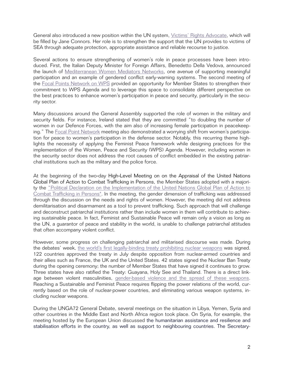General also introduced a new position within the UN system, [Victims' Rights Advocate,](https://www.un.org/preventing-sexual-exploitation-and-abuse/content/programme) which will be filled by Jane Connors. Her role is to strengthen the support that the UN provides to victims of SEA through adequate protection, appropriate assistance and reliable recourse to justice.

Several actions to ensure strengthening of women's role in peace processes have been introduced. First, the Italian Deputy Minister for Foreign Affairs, Benedetto Della Vedova, announced the launch of [Mediterranean Women Mediators Networks,](http://www.onuitalia.com/2017/03/27/mediterranean-women-mediators-network-will-meet-rome-fall/) one avenue of supporting meaningful participation and an example of gendered conflict early-warning systems. The second meeting of the [Focal Points Network on WPS](http://www.un.org/webcast/pdfs/170921pm-spain-focal-points-network-women-peace-security.pdf) provided an opportunity for Member States to strengthen their commitment to WPS Agenda and to leverage this space to consolidate different perspective on the best practices to enhance women's participation in peace and security, particularly in the security sector.

Many discussions around the General Assembly supported the role of women in the military and security fields. For instance, Ireland stated that they are committed "to doubling the number of women in our Defence Forces, with the aim also of increasing female participation in peacekeep-ing." The [Focal Point Network](http://www.un.org/webcast/pdfs/170921pm-spain-focal-points-network-women-peace-security.pdf) meeting also demonstrated a worrying shift from women's participation for peace to women's participation in the defense sector. Notably, this recurring theme highlights the necessity of applying the Feminist Peace framework while designing practices for the implementation of the Women, Peace and Security (WPS) Agenda. However, including women in the security sector does not address the root causes of conflict embedded in the existing patriarchal institutions such as the military and the police force.

At the beginning of the two-day High-Level Meeting on on the Appraisal of the United Nations Global Plan of Action to Combat Trafficking in Persons, the Member States adopted with a majori[ty the "Political Declaration on the Implementation of the United Nations Global Plan of Action to](https://www.un.org/press/en/2017/ga11955.doc.htm)  Combat Trafficking in Persons". In the meeting, the gender dimension of trafficking was addressed through the discussion on the needs and rights of women. However, the meeting did not address demilitarisation and disarmament as a tool to prevent trafficking. Such approach that will challenge and deconstruct patriarchal institutions rather than include women in them will contribute to achieving sustainable peace. In fact, Feminist and Sustainable Peace will remain only a vision as long as the UN, a guarantor of peace and stability in the world, is unable to challenge patriarchal attitudes that often accompany violent conflict.

However, some progress on challenging patriarchal and militarised discourse was made. During the debates' week, [the world's first legally-binding treaty prohibiting nuclear weapons](https://www.un.org/disarmament/ptnw/index.html) was signed. 122 countries approved the treaty in July despite opposition from nuclear-armed countries and their allies such as France, the UK and the United States. 42 states signed the Nuclear Ban Treaty during the opening ceremony; the number of Member States that have signed it continues to grow. Three states have also ratified the Treaty: Guayana, Holy See and Thailand. There is a direct linkage between violent masculinities, [gender-based violence and the spread of these weapons.](http://www.reachingcriticalwill.org/resources/publications-and-research/research-projects/10637-gender-and-disarmament) Reaching a Sustainable and Feminist Peace requires flipping the power relations of the world, currently based on the role of nuclear-power countries, and eliminating various weapon systems, including nuclear weapons.

During the UNGA72 General Debate, several meetings on the situation in Libya, Yemen, Syria and other countries in the Middle East and North Africa region took place. On Syria, for example, the meeting hosted by the European Union discussed the humanitarian assistance and resilience and stabilisation efforts in the country, as well as support to neighbouring countries. The Secretary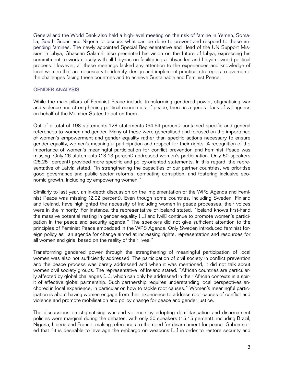General and the World Bank also held a high-level meeting on the risk of famine in Yemen, Somalia, South Sudan and Nigeria to discuss what can be done to prevent and respond to these impending famines. The newly appointed Special Representative and Head of the UN Support Mission in Libya, Ghassan Salamé, also presented his vision on the future of Libya, expressing his commitment to work closely with all Libyans on facilitating a Libyan-led and Libyan-owned political process. However, all these meetings lacked any attention to the experiences and knowledge of local women that are necessary to identify, design and implement practical strategies to overcome the challenges facing these countries and to achieve Sustainable and Feminist Peace.

# GENDER ANALYSIS

While the main pillars of Feminist Peace include transforming gendered power, stigmatising war and violence and strengthening political economies of peace, there is a general lack of willingness on behalf of the Member States to act on them.

Out of a total of 198 statements,128 statements (64.64 percent) contained specific and general references to women and gender. Many of these were generalised and focused on the importance of women's empowerment and gender equality rather than specific actions necessary to ensure gender equality, women's meaningful participation and respect for their rights. A recognition of the importance of women's meaningful participation for conflict prevention and Feminist Peace was missing. Only 26 statements (13.13 percent) addressed women's participation. Only 50 speakers (25.25 percent) provided more specific and policy-oriented statements. In this regard, the representative of Latvia stated, "In strengthening the capacities of our partner countries, we prioritise good governance and public sector reforms, combating corruption, and fostering inclusive economic growth, including by empowering women."

Similarly to last year, an in-depth discussion on the implementation of the WPS Agenda and Feminist Peace was missing (2.02 percent). Even though some countries, including Sweden, Finland and Iceland, have highlighted the necessity of including women in peace processes, their voices were in the minority. For instance, the representative of Iceland stated, "Iceland knows first-hand the massive potential resting in gender equality [...] and [will] continue to promote women's participation in the peace and security agenda." The speakers did not give sufficient attention to the principles of Feminist Peace embedded in the WPS Agenda. Only Sweden introduced feminist foreign policy as "an agenda for change aimed at increasing rights, representation and resources for all women and girls, based on the reality of their lives."

Transforming gendered power through the strengthening of meaningful participation of local women was also not sufficiently addressed. The participation of civil society in conflict prevention and the peace process was barely addressed and when it was mentioned, it did not talk about women civil society groups. The representative of Ireland stated, "African countries are particularly affected by global challenges [...], which can only be addressed in their African contexts in a spirit of effective global partnership. Such partnership requires understanding local perspectives anchored in local experience, in particular on how to tackle root causes." Women's meaningful participation is about having women engage from their experience to address root causes of conflict and violence and promote mobilisation and policy change for peace and gender justice.

The discussions on stigmatising war and violence by adopting demilitarisation and disarmament policies were marginal during the debates, with only 30 speakers (15.15 percent), including Brazil, Nigeria, Liberia and France, making references to the need for disarmament for peace. Gabon noted that "it is desirable to leverage the embargo on weapons [...] in order to restore security and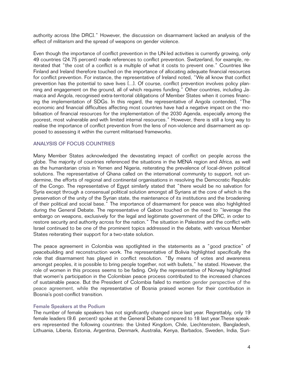authority across [the DRC]." However, the discussion on disarmament lacked an analysis of the effect of militarism and the spread of weapons on gender violence.

Even though the importance of conflict prevention in the UN-led activities is currently growing, only 49 countries (24.75 percent) made references to conflict prevention. Switzerland, for example, reiterated that "the cost of a conflict is a multiple of what it costs to prevent one." Countries like Finland and Ireland therefore touched on the importance of allocating adequate financial resources for conflict prevention. For instance, the representative of Ireland noted, "We all know that conflict prevention has the potential to save lives [...]. Of course, conflict prevention involves policy planning and engagement on the ground, all of which requires funding." Other countries, including Jamaica and Angola, recognised extra-territorial obligations of Member States when it comes financing the implementation of SDGs. In this regard, the representative of Angola contended, "The economic and financial difficulties affecting most countries have had a negative impact on the mobilisation of financial resources for the implementation of the 2030 Agenda, especially among the poorest, most vulnerable and with limited internal resources." However, there is still a long way to realise the importance of conflict prevention from the lens of non-violence and disarmament as opposed to assessing it within the current militarised frameworks.

# ANALYSIS OF FOCUS COUNTRIES

Many Member States acknowledged the devastating impact of conflict on people across the globe. The majority of countries referenced the situations in the MENA region and Africa, as well as the humanitarian crisis in Yemen and Nigeria, reiterating the prevalence of local-driven political solutions. The representative of Ghana called on the international community to support, not undermine, the efforts of regional and continental organisations in resolving the Democratic Republic of the Congo. The representative of Egypt similarly stated that "there would be no salvation for Syria except through a consensual political solution amongst all Syrians at the core of which is the preservation of the unity of the Syrian state, the maintenance of its institutions and the broadening of their political and social base." The importance of disarmament for peace was also highlighted during the General Debate. The representative of Gabon touched on the need to "leverage the embargo on weapons, exclusively for the legal and legitimate government of the DRC, in order to restore security and authority across for the nation." The situation in Palestine and the conflict with Israel continued to be one of the prominent topics addressed in the debate, with various Member States reiterating their support for a two-state solution.

The peace agreement in Colombia was spotlighted in the statements as a "good practice" of peacebuilding and reconstruction work. The representative of Bolivia highlighted specifically the role that disarmament has played in conflict resolution. "By means of votes and awareness amongst peoples, it is possible to bring people together, not with bullets," he stated. However, the role of women in this process seems to be fading. Only the representative of Norway highlighted that women's participation in the Colombian peace process contributed to the increased chances of sustainable peace. But the President of Colombia failed to mention gender perspective of the peace agreement, while the representative of Bosnia praised women for their contribution in Bosnia's post-conflict transition.

#### Female Speakers at the Podium

The number of female speakers has not significantly changed since last year. Regrettably, only 19 female leaders (9.6 percent) spoke at the General Debate compared to 18 last year.These speakers represented the following countries: the United Kingdom, Chile, Liechtenstein, Bangladesh, Lithuania, Liberia, Estonia, Argentina, Denmark, Australia, Kenya, Barbados, Sweden, India, Suri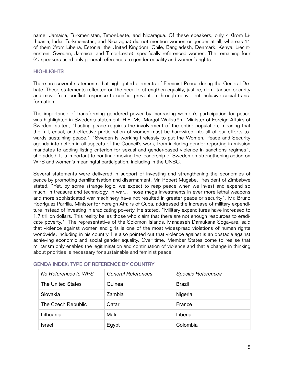name, Jamaica, Turkmenistan, Timor-Leste, and Nicaragua. Of these speakers, only 4 (from Lithuania, India, Turkmenistan, and Nicaragua) did not mention women or gender at all, whereas 11 of them (from Liberia, Estonia, the United Kingdom, Chile, Bangladesh, Denmark, Kenya, Liechtenstein, Sweden, Jamaica, and Timor-Leste), specifically referenced women. The remaining four (4) speakers used only general references to gender equality and women's rights.

# **HIGHLIGHTS**

There are several statements that highlighted elements of Feminist Peace during the General Debate. These statements reflected on the need to strengthen equality, justice, demilitarised security and move from conflict response to conflict prevention through nonviolent inclusive social transformation.

The importance of transforming gendered power by increasing women's participation for peace was highlighted in Sweden's statement. H.E. Ms. Margot Wallström, Minister of Foreign Affairs of Sweden, stated, "Lasting peace requires the involvement of the entire population, meaning that the full, equal, and effective participation of women must be hardwired into all of our efforts towards sustaining peace." "Sweden is working tirelessly to put the Women, Peace and Security agenda into action in all aspects of the Council's work, from including gender reporting in mission mandates to adding listing criterion for sexual and gender-based violence in sanctions regimes", she added. It is important to continue moving the leadership of Sweden on strengthening action on WPS and women's meaningful participation, including in the UNSC.

Several statements were delivered in support of investing and strengthening the economies of peace by promoting demilitarisation and disarmament. Mr. Robert Mugabe, President of Zimbabwe stated, "Yet, by some strange logic, we expect to reap peace when we invest and expend so much, in treasure and technology, in war... Those mega investments in ever more lethal weapons and more sophisticated war machinery have not resulted in greater peace or security". Mr. Bruno Rodriguez Parrilla, Minister for Foreign Affairs of Cuba, addressed the increase of military expenditure instead of investing in eradicating poverty. He stated, "Military expenditures have increased to 1.7 trillion dollars. This reality belies those who claim that there are not enough resources to eradicate poverty." The representative of the Solomon Islands, Manasseh Damukana Sogavare, said that violence against women and girls is one of the most widespread violations of human rights worldwide, including in his country. He also pointed out that violence against is an obstacle against achieving economic and social gender equality. Over time, Member States come to realise that militarism only enables the legitimisation and continuation of violence and that a change in thinking about priorities is necessary for sustainable and feminist peace.

| No References to WPS | <b>General References</b> | <b>Specific References</b> |
|----------------------|---------------------------|----------------------------|
| The United States    | Guinea                    | <b>Brazil</b>              |
| Slovakia             | Zambia                    | Nigeria                    |
| The Czech Republic   | Qatar                     | France                     |
| Lithuania            | Mali                      | Liberia                    |
| Israel               | Egypt                     | Colombia                   |

# GENDA INDEX: TYPE OF REFERENCE BY COUNTRY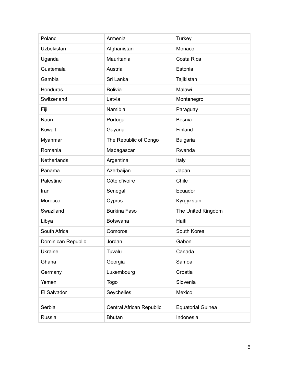| Poland             | Armenia                  | <b>Turkey</b>            |
|--------------------|--------------------------|--------------------------|
| Uzbekistan         | Afghanistan              | Monaco                   |
| Uganda             | Mauritania               | Costa Rica               |
| Guatemala          | Austria                  | Estonia                  |
| Gambia             | Sri Lanka                | Tajikistan               |
| Honduras           | <b>Bolivia</b>           | Malawi                   |
| Switzerland        | Latvia                   | Montenegro               |
| Fiji               | Namibia                  | Paraguay                 |
| Nauru              | Portugal                 | <b>Bosnia</b>            |
| Kuwait             | Guyana                   | Finland                  |
| Myanmar            | The Republic of Congo    | <b>Bulgaria</b>          |
| Romania            | Madagascar               | Rwanda                   |
| <b>Netherlands</b> | Argentina                | Italy                    |
| Panama             | Azerbaijan               | Japan                    |
| Palestine          | Côte d'ivoire            | Chile                    |
| Iran               | Senegal                  | Ecuador                  |
| Morocco            | Cyprus                   | Kyrgyzstan               |
| Swaziland          | <b>Burkina Faso</b>      | The United Kingdom       |
| Libya              | <b>Botswana</b>          | Haiti                    |
| South Africa       | Comoros                  | South Korea              |
| Dominican Republic | Jordan                   | Gabon                    |
| <b>Ukraine</b>     | Tuvalu                   | Canada                   |
| Ghana              | Georgia                  | Samoa                    |
| Germany            | Luxembourg               | Croatia                  |
| Yemen              | <b>Togo</b>              | Slovenia                 |
| El Salvador        | Seychelles               | Mexico                   |
| Serbia             | Central African Republic | <b>Equatorial Guinea</b> |
|                    |                          |                          |
| Russia             | <b>Bhutan</b>            | Indonesia                |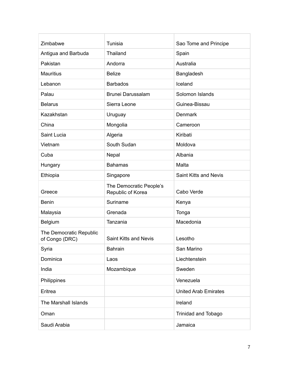| Zimbabwe                                  | Tunisia                                      | Sao Tome and Principe       |
|-------------------------------------------|----------------------------------------------|-----------------------------|
| Antigua and Barbuda                       | Thailand                                     | Spain                       |
| Pakistan                                  | Andorra                                      | Australia                   |
| <b>Mauritius</b>                          | <b>Belize</b>                                | Bangladesh                  |
| Lebanon                                   | <b>Barbados</b>                              | Iceland                     |
| Palau                                     | <b>Brunei Darussalam</b>                     | Solomon Islands             |
| <b>Belarus</b>                            | Sierra Leone                                 | Guinea-Bissau               |
| Kazakhstan                                | Uruguay                                      | <b>Denmark</b>              |
| China                                     | Mongolia                                     | Cameroon                    |
| Saint Lucia                               | Algeria                                      | Kiribati                    |
| Vietnam                                   | South Sudan                                  | Moldova                     |
| Cuba                                      | Nepal                                        | Albania                     |
| Hungary                                   | <b>Bahamas</b>                               | Malta                       |
| Ethiopia                                  | Singapore                                    | Saint Kitts and Nevis       |
| Greece                                    | The Democratic People's<br>Republic of Korea | Cabo Verde                  |
| <b>Benin</b>                              | Suriname                                     | Kenya                       |
| Malaysia                                  | Grenada                                      | Tonga                       |
| Belgium                                   | Tanzania                                     | Macedonia                   |
| The Democratic Republic<br>of Congo (DRC) | <b>Saint Kitts and Nevis</b>                 | Lesotho                     |
| Syria                                     | Bahrain                                      | San Marino                  |
| Dominica                                  | Laos                                         | Liechtenstein               |
| India                                     | Mozambique                                   | Sweden                      |
| Philippines                               |                                              | Venezuela                   |
| Eritrea                                   |                                              | <b>United Arab Emirates</b> |
| The Marshall Islands                      |                                              | Ireland                     |
| Oman                                      |                                              | <b>Trinidad and Tobago</b>  |
| Saudi Arabia                              |                                              | Jamaica                     |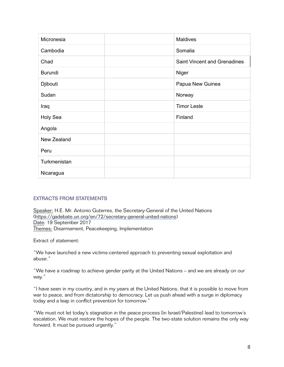| Micronesia   | Maldives                            |
|--------------|-------------------------------------|
| Cambodia     | Somalia                             |
| Chad         | <b>Saint Vincent and Grenadines</b> |
| Burundi      | Niger                               |
| Djibouti     | Papua New Guinea                    |
| Sudan        | Norway                              |
| Iraq         | <b>Timor Leste</b>                  |
| Holy Sea     | Finland                             |
| Angola       |                                     |
| New Zealand  |                                     |
| Peru         |                                     |
| Turkmenistan |                                     |
| Nicaragua    |                                     |

# EXTRACTS FROM STATEMENTS

Speaker: H.E. Mr. Antonio Guterres, the Secretary-General of the United Nations [\(https://gadebate.un.org/en/72/secretary-general-united-nations](https://gadebate.un.org/en/72/secretary-general-united-nations)) Date: 19 September 2017 Themes: Disarmament, Peacekeeping, Implementation

Extract of statement:

"We have launched a new victims-centered approach to preventing sexual exploitation and abuse."

"We have a roadmap to achieve gender parity at the United Nations – and we are already on our way."

"I have seen in my country, and in my years at the United Nations, that it is possible to move from war to peace, and from dictatorship to democracy. Let us push ahead with a surge in diplomacy today and a leap in conflict prevention for tomorrow."

"We must not let today's stagnation in the peace process [in Israel/Palestine] lead to tomorrow's escalation. We must restore the hopes of the people. The two-state solution remains the only way forward. It must be pursued urgently."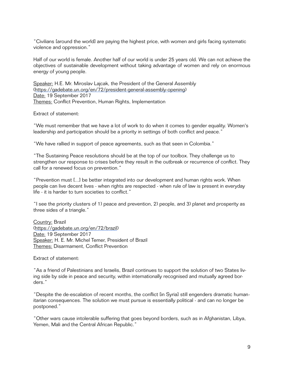"Civilians [around the world] are paying the highest price, with women and girls facing systematic violence and oppression."

Half of our world is female. Another half of our world is under 25 years old. We can not achieve the objectives of sustainable development without taking advantage of women and rely on enormous energy of young people.

Speaker: H.E. Mr. Miroslav Lajcak, the President of the General Assembly [\(https://gadebate.un.org/en/72/president-general-assembly-opening\)](https://gadebate.un.org/en/72/president-general-assembly-opening) Date: 19 September 2017 Themes: Conflict Prevention, Human Rights, Implementation

Extract of statement:

"We must remember that we have a lot of work to do when it comes to gender equality. Women's leadership and participation should be a priority in settings of both conflict and peace."

"We have rallied in support of peace agreements, such as that seen in Colombia."

"The Sustaining Peace resolutions should be at the top of our toolbox. They challenge us to strengthen our response to crises before they result in the outbreak or recurrence of conflict. They call for a renewed focus on prevention."

"Prevention must [...] be better integrated into our development and human rights work. When people can live decent lives - when rights are respected - when rule of law is present in everyday life - it is harder to turn societies to conflict."

"I see the priority clusters of 1) peace and prevention, 2) people, and 3) planet and prosperity as three sides of a triangle."

Country: Brazil [\(https://gadebate.un.org/en/72/brazil](https://gadebate.un.org/en/72/brazil)) Date: 19 September 2017 Speaker: H. E. Mr. Michel Temer, President of Brazil Themes: Disarmament, Conflict Prevention

Extract of statement:

"As a friend of Palestinians and Israelis, Brazil continues to support the solution of two States living side by side in peace and security, within internationally recognised and mutually agreed borders."

"Despite the de-escalation of recent months, the conflict [in Syria] still engenders dramatic humanitarian consequences. The solution we must pursue is essentially political - and can no longer be postponed."

"Other wars cause intolerable suffering that goes beyond borders, such as in Afghanistan, Libya, Yemen, Mali and the Central African Republic."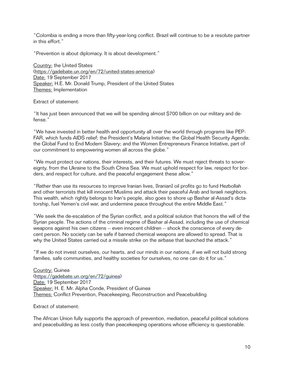"Colombia is ending a more than fifty-year-long conflict. Brazil will continue to be a resolute partner in this effort."

"Prevention is about diplomacy. It is about development."

Country: the United States [\(https://gadebate.un.org/en/72/united-states-america\)](https://gadebate.un.org/en/72/united-states-america) Date: 19 September 2017 Speaker: H.E. Mr. Donald Trump, President of the United States Themes: Implementation

Extract of statement:

"It has just been announced that we will be spending almost \$700 billion on our military and defense."

"We have invested in better health and opportunity all over the world through programs like PEP-FAR, which funds AIDS relief; the President's Malaria Initiative; the Global Health Security Agenda; the Global Fund to End Modern Slavery; and the Women Entrepreneurs Finance Initiative, part of our commitment to empowering women all across the globe."

"We must protect our nations, their interests, and their futures. We must reject threats to sovereignty, from the Ukraine to the South China Sea. We must uphold respect for law, respect for borders, and respect for culture, and the peaceful engagement these allow."

"Rather than use its resources to improve Iranian lives, [Iranian] oil profits go to fund Hezbollah and other terrorists that kill innocent Muslims and attack their peaceful Arab and Israeli neighbors. This wealth, which rightly belongs to Iran's people, also goes to shore up Bashar al-Assad's dictatorship, fuel Yemen's civil war, and undermine peace throughout the entire Middle East."

"We seek the de-escalation of the Syrian conflict, and a political solution that honors the will of the Syrian people. The actions of the criminal regime of Bashar al-Assad, including the use of chemical weapons against his own citizens -- even innocent children -- shock the conscience of every decent person. No society can be safe if banned chemical weapons are allowed to spread. That is why the United States carried out a missile strike on the airbase that launched the attack."

"If we do not invest ourselves, our hearts, and our minds in our nations, if we will not build strong families, safe communities, and healthy societies for ourselves, no one can do it for us."

Country: Guinea [\(https://gadebate.un.org/en/72/guinea](https://gadebate.un.org/en/72/guinea)) Date: 19 September 2017 Speaker: H. E. Mr. Alpha Conde, President of Guinea Themes: Conflict Prevention, Peacekeeping, Reconstruction and Peacebuilding

Extract of statement:

The African Union fully supports the approach of prevention, mediation, peaceful political solutions and peacebuilding as less costly than peacekeeping operations whose efficiency is questionable.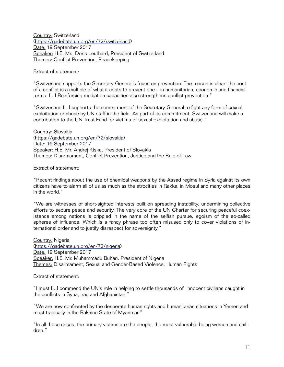Country: Switzerland [\(https://gadebate.un.org/en/72/switzerland](https://gadebate.un.org/en/72/switzerland)) Date: 19 September 2017 Speaker: H.E. Ms. Doris Leuthard, President of Switzerland Themes: Conflict Prevention, Peacekeeping

Extract of statement:

"Switzerland supports the Secretary-General's focus on prevention. The reason is clear: the cost of a conflict is a multiple of what it costs to prevent one – in humanitarian, economic and financial terms. [...] Reinforcing mediation capacities also strengthens conflict prevention."

"Switzerland [...] supports the commitment of the Secretary-General to fight any form of sexual exploitation or abuse by UN staff in the field. As part of its commitment, Switzerland will make a contribution to the UN Trust Fund for victims of sexual exploitation and abuse."

Country: Slovakia [\(https://gadebate.un.org/en/72/slovakia\)](https://gadebate.un.org/en/72/slovakia) Date: 19 September 2017 Speaker: H.E. Mr. Andrej Kiska, President of Slovakia Themes: Disarmament, Conflict Prevention, Justice and the Rule of Law

Extract of statement:

"Recent findings about the use of chemical weapons by the Assad regime in Syria against its own citizens have to alarm all of us as much as the atrocities in Rakka, in Mosul and many other places in the world."

"We are witnesses of short-sighted interests built on spreading instability, undermining collective efforts to secure peace and security. The very core of the UN Charter for securing peaceful coexistence among nations is crippled in the name of the selfish pursue, egoism of the so-called spheres of influence. Which is a fancy phrase too often misused only to cover violations of international order and to justify disrespect for sovereignty."

Country: Nigeria [\(https://gadebate.un.org/en/72/nigeria](https://gadebate.un.org/en/72/nigeria)) Date: 19 September 2017 Speaker: H.E. Mr. Muhammadu Buhari, President of Nigeria Themes: Disarmament, Sexual and Gender-Based Violence, Human Rights

Extract of statement:

"I must [...] commend the UN's role in helping to settle thousands of innocent civilians caught in the conflicts in Syria, Iraq and Afghanistan."

"We are now confronted by the desperate human rights and humanitarian situations in Yemen and most tragically in the Rakhine State of Myanmar."

"In all these crises, the primary victims are the people, the most vulnerable being women and children."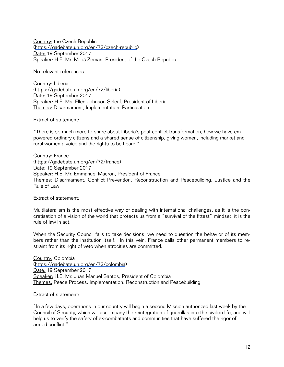Country: the Czech Republic [\(https://gadebate.un.org/en/72/czech-republic\)](https://gadebate.un.org/en/72/czech-republic) Date: 19 September 2017 Speaker: H.E. Mr. Miloš Zeman, President of the Czech Republic

No relevant references.

Country: Liberia [\(https://gadebate.un.org/en/72/liberia\)](https://gadebate.un.org/en/72/liberia) Date: 19 September 2017 Speaker: H.E. Ms. Ellen Johnson Sirleaf, President of Liberia Themes: Disarmament, Implementation, Participation

Extract of statement:

"There is so much more to share about Liberia's post conflict transformation, how we have empowered ordinary citizens and a shared sense of citizenship, giving women, including market and rural women a voice and the rights to be heard."

Country: France [\(https://gadebate.un.org/en/72/france\)](https://gadebate.un.org/en/72/france) Date: 19 September 2017 Speaker: H.E. Mr. Emmanuel Macron, President of France Themes: Disarmament, Conflict Prevention, Reconstruction and Peacebuilding, Justice and the Rule of Law

Extract of statement:

Multilateralism is the most effective way of dealing with international challenges, as it is the concretisation of a vision of the world that protects us from a "survival of the fittest" mindset; it is the rule of law in act.

When the Security Council fails to take decisions, we need to question the behavior of its members rather than the institution itself. In this vein, France calls other permanent members to restraint from its right of veto when atrocities are committed.

Country: Colombia [\(https://gadebate.un.org/en/72/colombia](https://gadebate.un.org/en/72/colombia)) Date: 19 September 2017 Speaker: H.E. Mr. Juan Manuel Santos, President of Colombia Themes: Peace Process, Implementation, Reconstruction and Peacebuilding

Extract of statement:

"In a few days, operations in our country will begin a second Mission authorized last week by the Council of Security, which will accompany the reintegration of guerrillas into the civilian life, and will help us to verify the safety of ex-combatants and communities that have suffered the rigor of armed conflict."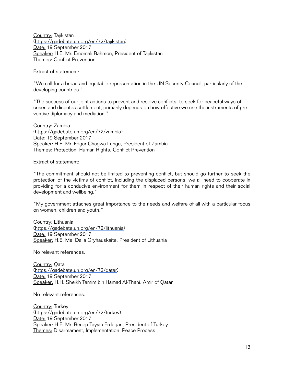Country: Tajikistan [\(https://gadebate.un.org/en/72/tajikistan](https://gadebate.un.org/en/72/tajikistan)) Date: 19 September 2017 Speaker: H.E. Mr. Emomali Rahmon, President of Tajikistan Themes: Conflict Prevention

Extract of statement:

"We call for a broad and equitable representation in the UN Security Council, particularly of the developing countries."

"The success of our joint actions to prevent and resolve conflicts, to seek for peaceful ways of crises and disputes settlement, primarily depends on how effective we use the instruments of preventive diplomacy and mediation."

Country: Zambia [\(https://gadebate.un.org/en/72/zambia\)](https://gadebate.un.org/en/72/zambia) Date: 19 September 2017 Speaker: H.E. Mr. Edgar Chagwa Lungu, President of Zambia Themes: Protection, Human Rights, Conflict Prevention

Extract of statement:

"The commitment should not be limited to preventing conflict, but should go further to seek the protection of the victims of conflict, including the displaced persons. we all need to cooperate in providing for a conducive environment for them in respect of their human rights and their social development and wellbeing."

"My government attaches great importance to the needs and welfare of all with a particular focus on women, children and youth."

Country: Lithuania [\(https://gadebate.un.org/en/72/lithuania](https://gadebate.un.org/en/72/lithuania)) Date: 19 September 2017 Speaker: H.E. Ms. Dalia Gryhauskaite, President of Lithuania

No relevant references.

Country: Qatar [\(https://gadebate.un.org/en/72/qatar](https://gadebate.un.org/en/72/qatar)) Date: 19 September 2017 Speaker: H.H. Sheikh Tamim bin Hamad Al-Thani, Amir of Qatar

No relevant references.

Country: Turkey [\(https://gadebate.un.org/en/72/turkey\)](https://gadebate.un.org/en/72/turkey) Date: 19 September 2017 Speaker: H.E. Mr. Recep Tayyip Erdogan, President of Turkey Themes: Disarmament, Implementation, Peace Process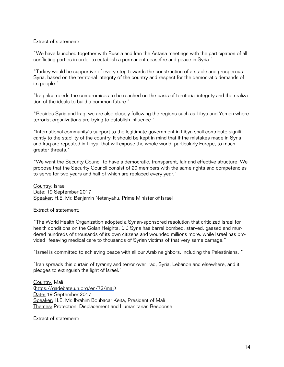Extract of statement:

"We have launched together with Russia and Iran the Astana meetings with the participation of all conflicting parties in order to establish a permanent ceasefire and peace in Syria."

"Turkey would be supportive of every step towards the construction of a stable and prosperous Syria, based on the territorial integrity of the country and respect for the democratic demands of its people."

"Iraq also needs the compromises to be reached on the basis of territorial integrity and the realization of the ideals to build a common future."

"Besides Syria and Iraq, we are also closely following the regions such as Libya and Yemen where terrorist organizations are trying to establish influence."

"International community's support to the legitimate government in Libya shall contribute significantly to the stability of the country. It should be kept in mind that if the mistakes made in Syria and Iraq are repeated in Libya, that will expose the whole world, particularly Europe, to much greater threats."

"We want the Security Council to have a democratic, transparent, fair and effective structure. We propose that the Security Council consist of 20 members with the same rights and competencies to serve for two years and half of which are replaced every year."

Country: Israel Date: 19 September 2017 Speaker: H.E. Mr. Benjamin Netanyahu, Prime Minister of Israel

Extract of statement:

"The World Health Organization adopted a Syrian-sponsored resolution that criticized Israel for health conditions on the Golan Heights. [...] Syria has barrel bombed, starved, gassed and murdered hundreds of thousands of its own citizens and wounded millions more, while Israel has provided lifesaving medical care to thousands of Syrian victims of that very same carnage."

"Israel is committed to achieving peace with all our Arab neighbors, including the Palestinians. "

"Iran spreads this curtain of tyranny and terror over Iraq, Syria, Lebanon and elsewhere, and it pledges to extinguish the light of Israel."

Country: Mali [\(https://gadebate.un.org/en/72/mali\)](https://gadebate.un.org/en/72/mali) Date: 19 September 2017 Speaker: H.E. Mr. Ibrahim Boubacar Keita, President of Mali Themes: Protection, Displacement and Humanitarian Response

Extract of statement: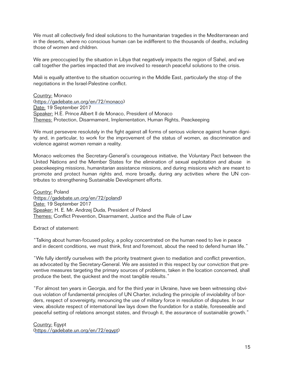We must all collectively find ideal solutions to the humanitarian tragedies in the Mediterranean and in the deserts, where no conscious human can be indifferent to the thousands of deaths, including those of women and children.

We are preoccupied by the situation in Libya that negatively impacts the region of Sahel, and we call together the parties impacted that are involved to research peaceful solutions to the crisis.

Mali is equally attentive to the situation occurring in the Middle East, particularly the stop of the negotiations in the Israel-Palestine conflict.

Country: Monaco [\(https://gadebate.un.org/en/72/monaco\)](https://gadebate.un.org/en/72/monaco) Date: 19 September 2017 Speaker: H.E. Prince Albert II de Monaco, President of Monaco Themes: Protection, Disarmament, Implementation, Human Rights, Peackeeping

We must persevere resolutely in the fight against all forms of serious violence against human dignity and, in particular, to work for the improvement of the status of women, as discrimination and violence against women remain a reality.

Monaco welcomes the Secretary-General's courageous initiative, the Voluntary Pact between the United Nations and the Member States for the elimination of sexual exploitation and abuse in peacekeeping missions, humanitarian assistance missions, and during missions which are meant to promote and protect human rights and, more broadly, during any activities where the UN contributes to strengthening Sustainable Development efforts.

Country: Poland [\(https://gadebate.un.org/en/72/poland](https://gadebate.un.org/en/72/poland)) Date: 19 September 2017 Speaker: H. E. Mr. Andrzej Duda, President of Poland Themes: Conflict Prevention, Disarmament, Justice and the Rule of Law

Extract of statement:

"Talking about human-focused policy, a policy concentrated on the human need to live in peace and in decent conditions, we must think, first and foremost, about the need to defend human life."

"We fully identify ourselves with the priority treatment given to mediation and conflict prevention, as advocated by the Secretary-General. We are assisted in this respect by our conviction that preventive measures targeting the primary sources of problems, taken in the location concerned, shall produce the best, the quickest and the most tangible results."

"For almost ten years in Georgia, and for the third year in Ukraine, have we been witnessing obvious violation of fundamental principles of UN Charter, including the principle of inviolability of borders, respect of sovereignty, renouncing the use of military force in resolution of disputes. In our view, absolute respect of international law lays down the foundation for a stable, foreseeable and peaceful setting of relations amongst states, and through it, the assurance of sustainable growth."

Country: Egypt [\(https://gadebate.un.org/en/72/egypt\)](https://gadebate.un.org/en/72/egypt)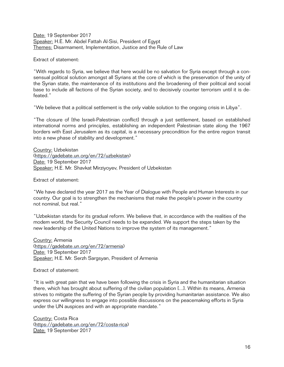Date: 19 September 2017 Speaker: H.E. Mr. Abdel Fattah Al-Sisi, President of Egypt Themes: Disarmament, Implementation, Justice and the Rule of Law

Extract of statement:

"With regards to Syria, we believe that here would be no salvation for Syria except through a consensual political solution amongst all Syrians at the core of which is the preservation of the unity of the Syrian state, the maintenance of its institutions and the broadening of their political and social base to include all factions of the Syrian society, and to decisively counter terrorism until it is defeated."

"We believe that a political settlement is the only viable solution to the ongoing crisis in Libya".

"The closure of [the Israeli-Palestinian conflict] through a just settlement, based on established international norms and principles, establishing an independent Palestinian state along the 1967 borders with East Jerusalem as its capital, is a necessary precondition for the entire region transit into a new phase of stability and development."

Country: Uzbekistan [\(https://gadebate.un.org/en/72/uzbekistan](https://gadebate.un.org/en/72/uzbekistan)) Date: 19 September 2017 Speaker: H.E. Mr. Shavkat Mirziyoyev, President of Uzbekistan

Extract of statement:

"We have declared the year 2017 as the Year of Dialogue with People and Human Interests in our country. Our goal is to strengthen the mechanisms that make the people's power in the country not nominal, but real."

"Uzbekistan stands for its gradual reform. We believe that, in accordance with the realities of the modem world, the Security Council needs to be expanded. We support the steps taken by the new leadership of the United Nations to improve the system of its management."

Country: Armenia [\(https://gadebate.un.org/en/72/armenia](https://gadebate.un.org/en/72/armenia)) Date: 19 September 2017 Speaker: H.E. Mr. Serzh Sargsyan, President of Armenia

Extract of statement:

"It is with great pain that we have been following the crisis in Syria and the humanitarian situation there, which has brought about suffering of the civilian population [...]. Within its means, Armenia strives to mitigate the suffering of the Syrian people by providing humanitarian assistance. We also express our willingness to engage into possible discussions on the peacemaking efforts in Syria under the UN auspices and with an appropriate mandate."

Country: Costa Rica [\(https://gadebate.un.org/en/72/costa-rica](https://gadebate.un.org/en/72/costa-rica)) Date: 19 September 2017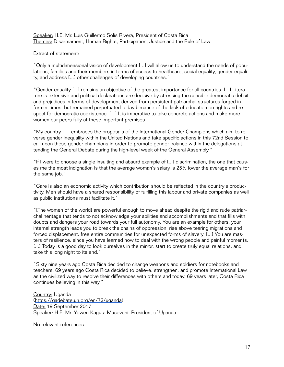Speaker: H.E. Mr. Luis Guillermo Solis Rivera, President of Costa Rica Themes: Disarmament, Human Rights, Participation, Justice and the Rule of Law

## Extract of statement:

"Only a multidimensional vision of development [...] will allow us to understand the needs of populations, families and their members in terms of access to healthcare, social equality, gender equality, and address [...] other challenges of developing countries."

"Gender equality [...] remains an objective of the greatest importance for all countries. [...] Literature is extensive and political declarations are decisive by stressing the sensible democratic deficit and prejudices in terms of development derived from persistent patriarchal structures forged in former times, but remained perpetuated today because of the lack of education on rights and respect for democratic coexistence. [...] It is imperative to take concrete actions and make more women our peers fully at these important premises.

"My country [...] embraces the proposals of the International Gender Champions which aim to reverse gender inequality within the United Nations and take specific actions in this 72nd Session to call upon these gender champions in order to promote gender balance within the delegations attending the General Debate during the high-level week of the General Assembly."

"If I were to choose a single insulting and absurd example of [...] discrimination, the one that causes me the most indignation is that the average woman's salary is 25% lower the average man's for the same job."

"Care is also an economic activity which contribution should be reflected in the country's productivity. Men should have a shared responsibility of fulfilling this labour and private companies as well as public institutions must facilitate it."

"[The women of the world] are powerful enough to move ahead despite the rigid and rude patriarchal heritage that tends to not acknowledge your abilities and accomplishments and that fills with doubts and dangers your road towards your full autonomy. You are an example for others: your internal strength leads you to break the chains of oppression, rise above tearing migrations and forced displacement, free entire communities for unexpected forms of slavery. [...] You are masters of resilience, since you have learned how to deal with the wrong people and painful moments. [...] Today is a good day to look ourselves in the mirror, start to create truly equal relations, and take this long night to its end."

"Sixty nine years ago Costa Rica decided to change weapons and soldiers for notebooks and teachers. 69 years ago Costa Rica decided to believe, strengthen, and promote International Law as the civilized way to resolve their differences with others and today, 69 years later, Costa Rica continues believing in this way."

Country: Uganda [\(https://gadebate.un.org/en/72/uganda](https://gadebate.un.org/en/72/uganda)) Date: 19 September 2017 Speaker: H.E. Mr. Yoweri Kaguta Museveni, President of Uganda

No relevant references.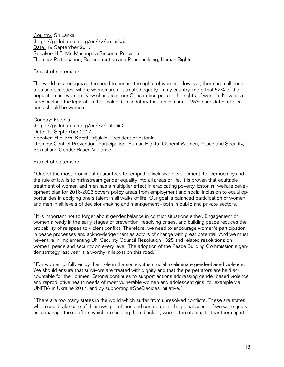Country: Sri Lanka [\(https://gadebate.un.org/en/72/sri-lanka](https://gadebate.un.org/en/72/sri-lanka)) Date: 19 September 2017 Speaker: H.E. Mr. Maithripala Sirisena, President Themes: Participation, Reconstruction and Peacebuilding, Human Rights

Extract of statement:

The world has recognized the need to ensure the rights of women. However, there are still countries and societies, where women are not treated equally. In my country, more that 52% of the population are women. New changes in our Constitution protect the rights of women. New measures include the legislation that makes it mandatory that a minimum of 25% candidates at elections should be women.

Country: Estonia [\(https://gadebate.un.org/en/72/estonia](https://gadebate.un.org/en/72/estonia)) Date: 19 September 2017 Speaker: H.E. Ms. Kersti Kaljuiaid, President of Estonia Themes: Conflict Prevention, Participation, Human Rights, General Women, Peace and Security, Sexual and Gender-Based Violence

Extract of statement:

"One of the most prominent guarantees for empathic inclusive development, for democracy and the rule of law is to mainstream gender equality into all areas of life. It is proven that equitable treatment of women and men has a multiplier effect in eradicating poverty. Estonian welfare development plan for 2016-2023 covers policy areas from employment and social inclusion to equal opportunities in applying one's talent in all walks of life. Our goal is balanced participation of women and men in all levels of decision-making and management - both in public and private sectors."

"It is important not to forget about gender balance in conflict situations either. Engagement of women already in the early stages of prevention, resolving crises, and building peace reduces the probability of relapses to violent conflict. Therefore, we need to encourage women's participation in peace processes and acknowledge them as actors of change with great potential. And we must never tire in implementing UN Security Council Resolution 1325 and related resolutions on women, peace and security on every level. The adoption of the Peace Building Commission's gender strategy last year is a worthy milepost on this road."

"For women to fully enjoy their role in the society it is crucial to eliminate gender-based violence. We should ensure that survivors are treated with dignity and that the perpetrators are held accountable for their crimes. Estonia continues to support actions addressing gender based violence and reproductive health needs of most vulnerable women and adolescent girls, for example via UNFRA in Ukraine 2017, and by supporting #SheDecides initiative."

"There are too many states in the world which suffer from unresolved conflicts. These are states which could take care of their own population and contribute at the global scene, if we were quicker to manage the conflicts which are holding them back or, worse, threatening to tear them apart."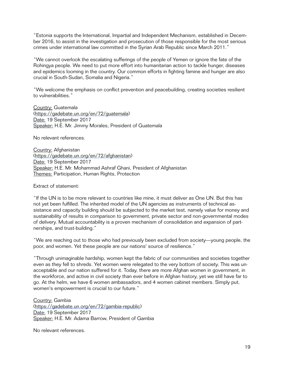"Estonia supports the International, Impartial and Independent Mechanism, established in December 2016, to assist in the investigation and prosecution of those responsible for the most serious crimes under international law committed in the Syrian Arab Republic since March 2011."

"We cannot overlook the escalating sufferings of the people of Yemen or ignore the fate of the Rohingya people. We need to put more effort into humanitarian action to tackle hunger, diseases and epidemics looming in the country. Our common efforts in fighting famine and hunger are also crucial in South-Sudan, Somalia and Nigeria."

"We welcome the emphasis on conflict prevention and peacebuilding, creating societies resilient to vulnerabilities."

Country: Guatemala [\(https://gadebate.un.org/en/72/guatemala\)](https://gadebate.un.org/en/72/guatemala) Date: 19 September 2017 Speaker: H.E. Mr. Jimmy Morales, President of Guatemala

No relevant references.

Country: Afghanistan [\(https://gadebate.un.org/en/72/afghanistan](https://gadebate.un.org/en/72/afghanistan)) Date: 19 September 2017 Speaker: H.E. Mr. Mohammad Ashraf Ghani, President of Afghanistan Themes: Participation, Human Rights, Protection

Extract of statement:

"If the UN is to be more relevant to countries like mine, it must deliver as One UN. But this has not yet been fulfilled. The inherited model of the UN agencies as instruments of technical assistance and capacity building should be subjected to the market test, namely value for money and sustainability of results in comparison to government, private sector and non-governmental modes of delivery. Mutual accountability is a proven mechanism of consolidation and expansion of partnerships, and trust-building."

"We are reaching out to those who had previously been excluded from society—young people, the poor, and women. Yet these people are our nations' source of resilience."

"Through unimaginable hardship, women kept the fabric of our communities and societies together even as they fell to shreds. Yet women were relegated to the very bottom of society. This was unacceptable and our nation suffered for it. Today, there are more Afghan women in government, in the workforce, and active in civil society than ever before in Afghan history, yet we still have far to go. At the helm, we have 6 women ambassadors, and 4 women cabinet members. Simply put, women's empowerment is crucial to our future."

Country: Gambia [\(https://gadebate.un.org/en/72/gambia-republic](https://gadebate.un.org/en/72/gambia-republic)) Date: 19 September 2017 Speaker: H.E. Mr. Adama Barrow, President of Gambia

No relevant references.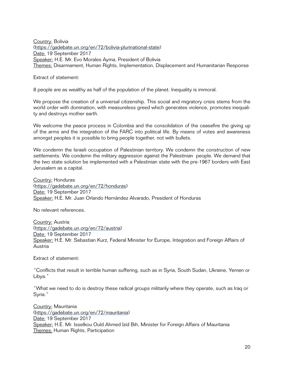Country: Bolivia [\(https://gadebate.un.org/en/72/bolivia-plurinational-state](https://gadebate.un.org/en/72/bolivia-plurinational-state)) Date: 19 September 2017 Speaker: H.E. Mr. Evo Morales Ayma, President of Bolivia Themes: Disarmament, Human Rights, Implementation, Displacement and Humanitarian Response

Extract of statement:

8 people are as wealthy as half of the population of the planet. Inequality is immoral.

We propose the creation of a universal citizenship. This social and migratory crisis stems from the world order with domination, with measureless greed which generates violence, promotes inequality and destroys mother earth.

We welcome the peace process in Colombia and the consolidation of the ceasefire the giving up of the arms and the integration of the FARC into political life. By means of votes and awareness amongst peoples it is possible to bring people together, not with bullets.

We condemn the Israeli occupation of Palestinian territory. We condemn the construction of new settlements. We condemn the military aggression against the Palestinian people. We demand that the two state solution be implemented with a Palestinian state with the pre-1967 borders with East Jerusalem as a capital.

Country: Honduras [\(https://gadebate.un.org/en/72/honduras\)](https://gadebate.un.org/en/72/honduras) Date: 19 September 2017 Speaker: H.E. Mr. Juan Orlando Hernández Alvarado, President of Honduras

No relevant references.

Country: Austria [\(https://gadebate.un.org/en/72/austria\)](https://gadebate.un.org/en/72/austria) Date: 19 September 2017 Speaker: H.E. Mr. Sebastian Kurz, Federal Minister for Europe, Integration and Foreign Affairs of Austria

Extract of statement:

"Conflicts that result in terrible human suffering, such as in Syria, South Sudan, Ukraine, Yemen or Libya."

"What we need to do is destroy these radical groups militarily where they operate, such as Iraq or Syria."

Country: Mauritania [\(https://gadebate.un.org/en/72/mauritania](https://gadebate.un.org/en/72/mauritania)) Date: 19 September 2017 Speaker: H.E. Mr. Isselkou Ould Ahmed Izid Bih, Minister for Foreign Affairs of Mauritania Themes: Human Rights, Participation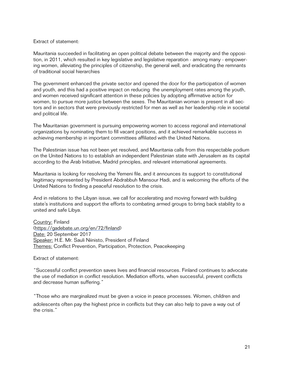#### Extract of statement:

Mauritania succeeded in facilitating an open political debate between the majority and the opposition, in 2011, which resulted in key legislative and legislative reparation - among many - empowering women, alleviating the principles of citizenship, the general well, and eradicating the remnants of traditional social hierarchies

The government enhanced the private sector and opened the door for the participation of women and youth, and this had a positive impact on reducing the unemployment rates among the youth, and women received significant attention in these policies by adopting affirmative action for women, to pursue more justice between the sexes. The Mauritanian woman is present in all sectors and in sectors that were previously restricted for men as well as her leadership role in societal and political life.

The Mauritanian government is pursuing empowering women to access regional and international organizations by nominating them to fill vacant positions, and it achieved remarkable success in achieving membership in important committees affiliated with the United Nations.

The Palestinian issue has not been yet resolved, and Mauritania calls from this respectable podium on the United Nations to to establish an independent Palestinian state with Jerusalem as its capital according to the Arab Initiative, Madrid principles, and relevant international agreements.

Mauritania is looking for resolving the Yemeni file, and it announces its support to constitutional legitimacy represented by President Abdrabbuh Mansour Hadi, and is welcoming the efforts of the United Nations to finding a peaceful resolution to the crisis.

And in relations to the Libyan issue, we call for accelerating and moving forward with building state's institutions and support the efforts to combating armed groups to bring back stability to a united and safe Libya.

Country: Finland [\(https://gadebate.un.org/en/72/finland](https://gadebate.un.org/en/72/finland)) Date: 20 September 2017 Speaker: H.E. Mr. Sauli Niinisto, President of Finland Themes: Conflict Prevention, Participation, Protection, Peacekeeping

Extract of statement:

"Successful conflict prevention saves lives and financial resources. Finland continues to advocate the use of mediation in conflict resolution. Mediation efforts, when successful, prevent conflicts and decrease human suffering."

"Those who are marginalized must be given a voice in peace processes. Women, children and adolescents often pay the highest price in conflicts but they can also help to pave a way out of the crisis."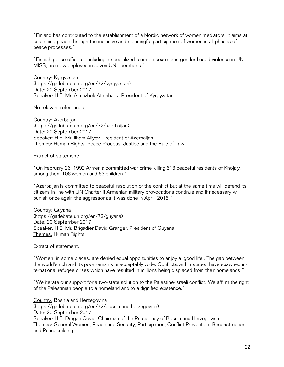"Finland has contributed to the establishment of a Nordic network of women mediators. It aims at sustaining peace through the inclusive and meaningful participation of women in all phases of peace processes."

"Finnish police officers, including a specialized team on sexual and gender based violence in UN-MISS, are now deployed in seven UN operations."

Country: Kyrgyzstan [\(https://gadebate.un.org/en/72/kyrgyzstan\)](https://gadebate.un.org/en/72/kyrgyzstan) Date: 20 September 2017 Speaker: H.E. Mr. Almazbek Atambaev, President of Kyrgyzstan

No relevant references.

Country: Azerbaijan [\(https://gadebate.un.org/en/72/azerbaijan](https://gadebate.un.org/en/72/azerbaijan)) Date: 20 September 2017 Speaker: H.E. Mr. Ilham Aliyev, President of Azerbaijan Themes: Human Rights, Peace Process, Justice and the Rule of Law

Extract of statement:

"On February 26, 1992 Armenia committed war crime killing 613 peaceful residents of Khojaly, among them 106 women and 63 children."

"Azerbaijan is committed to peaceful resolution of the conflict but at the same time will defend its citizens in line with UN Charter if Armenian military provocations continue and if necessary will punish once again the aggressor as it was done in April, 2016."

Country: Guyana [\(https://gadebate.un.org/en/72/guyana\)](https://gadebate.un.org/en/72/guyana) Date: 20 September 2017 Speaker: H.E. Mr. Brigadier David Granger, President of Guyana Themes: Human Rights

Extract of statement:

"Women, in some places, are denied equal opportunities to enjoy a 'good life'. The gap between the world's rich and its poor remains unacceptably wide. Conflicts,within states, have spawned international refugee crises which have resulted in millions being displaced from their homelands."

"We iterate our support for a two-state solution to the Palestine-Israeli conflict. We affirm the right of the Palestinian people to a homeland and to a dignified existence."

Country: Bosnia and Herzegovina [\(https://gadebate.un.org/en/72/bosnia-and-herzegovina\)](https://gadebate.un.org/en/72/bosnia-and-herzegovina) Date: 20 September 2017 Speaker: H.E. Dragan Covic, Chairman of the Presidency of Bosnia and Herzegovina Themes: General Women, Peace and Security, Participation, Conflict Prevention, Reconstruction and Peacebuilding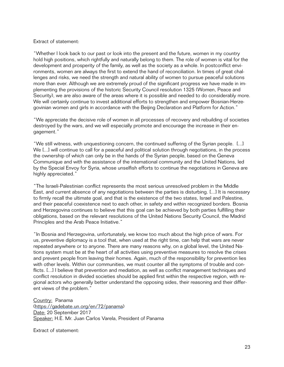#### Extract of statement:

"Whether I look back to our past or look into the present and the future, women in my country hold high positions, which rightfully and naturally belong to them. The role of women is vital for the development and prosperity of the family, as well as the society as a whole. In postconflict environments, women are always the first to extend the hand of reconciliation. In times of great challenges and risks, we need the strength and natural ability of women to pursue peaceful solutions more than ever. Although we are extremely proud of the significant progress we have made in implementing the provisions of the historic Security Council resolution 1325 (Women, Peace and Security), we are also aware of the areas where it is possible and needed to do considerably more. We will certainly continue to invest additional efforts to strengthen and empower Bosnian-Herzegovinian women and girls in accordance with the Beijing Declaration and Platform for Action."

"We appreciate the decisive role of women in all processes of recovery and rebuilding of societies destroyed by the wars, and we will especially promote and encourage the increase in their engagement."

"We still witness, with unquestioning concern, the continued suffering of the Syrian people. [...] We [...] will continue to call for a peaceful and political solution through negotiations, in the process the ownership of which can only be in the hands of the Syrian people, based on the Geneva Communique and with the assistance of the intemational community and the United Nations, led by the Special Envoy for Syria, whose unselfish efforts to continue the negotiations in Geneva are highly appreciated."

"The Israeli-Palestinian conflict represents the most serious unresolved problem in the Middle East, and current absence of any negotiations between the parties is disturbing. [...] It is necessary to firmly recall the ultimate goal, and that is the existence of the two states, Israel and Palestine, and their peaceful coexistence next to each other, in safety and within recognized borders. Bosnia and Herzegovina continues to believe that this goal can be achieved by both parties fulfilling their obligations, based on the relevant resolutions of the United Nations Security Council, the Madrid Principles and the Arab Peace Initiative."

"In Bosnia and Herzegovina, unfortunately, we know too much about the high price of wars. For us, preventive diplomacy is a tool that, when used at the right time, can help that wars are never repeated anywhere or to anyone. There are many reasons why, on a global level, the United Nations system must be at the heart of all activities using preventive measures to resolve the crises and prevent people from leaving their homes. Again, much of the responsibility for prevention lies with other levels. Within our communities, we must counter all the symptoms of trouble and conflicts. [...] I believe that prevention and mediation, as well as conflict management techniques and conflict resolution in divided societies should be applied first within the respective region, with regional actors who generally better understand the opposing sides, their reasoning and their different views of the problem."

Country: Panama [\(https://gadebate.un.org/en/72/panama\)](https://gadebate.un.org/en/72/panama) Date: 20 September 2017 Speaker: H.E. Mr. Juan Carlos Varela, President of Panama

Extract of statement: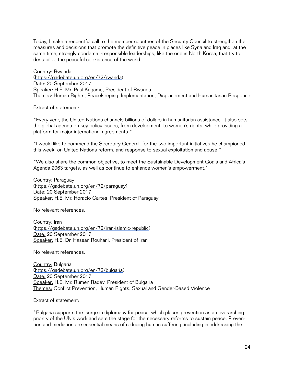Today, I make a respectful call to the member countries of the Security Council to strengthen the measures and decisions that promote the definitive peace in places like Syria and Iraq and, at the same time, strongly condemn irresponsible leaderships, like the one in North Korea, that try to destabilize the peaceful coexistence of the world.

Country: Rwanda [\(https://gadebate.un.org/en/72/rwanda](https://gadebate.un.org/en/72/rwanda)) Date: 20 September 2017 Speaker: H.E. Mr. Paul Kagame, President of Rwanda Themes: Human Rights, Peacekeeping, Implementation, Displacement and Humanitarian Response

Extract of statement:

"Every year, the United Nations channels billions of dollars in humanitarian assistance. It also sets the global agenda on key policy issues, from development, to women's rights, while providing a platform for major international agreements."

"I would like to commend the Secretary-General, for the two important initiatives he championed this week, on United Nations reform, and response to sexual exploitation and abuse."

"We also share the common objective, to meet the Sustainable Development Goals and Africa's Agenda 2063 targets, as well as continue to enhance women's empowerment."

Country: Paraguay [\(https://gadebate.un.org/en/72/paraguay](https://gadebate.un.org/en/72/paraguay)) Date: 20 September 2017 Speaker: H.E. Mr. Horacio Cartes, President of Paraguay

No relevant references.

Country: Iran [\(https://gadebate.un.org/en/72/iran-islamic-republic\)](https://gadebate.un.org/en/72/iran-islamic-republic) Date: 20 September 2017 Speaker: H.E. Dr. Hassan Rouhani, President of Iran

No relevant references.

Country: Bulgaria [\(https://gadebate.un.org/en/72/bulgaria\)](https://gadebate.un.org/en/72/bulgaria) Date: 20 September 2017 Speaker: H.E. Mr. Rumen Radev, President of Bulgaria Themes: Conflict Prevention, Human Rights, Sexual and Gender-Based Violence

Extract of statement:

"Bulgaria supports the 'surge in diplomacy for peace' which places prevention as an overarching priority of the UN's work and sets the stage for the necessary reforms to sustain peace. Prevention and mediation are essential means of reducing human suffering, including in addressing the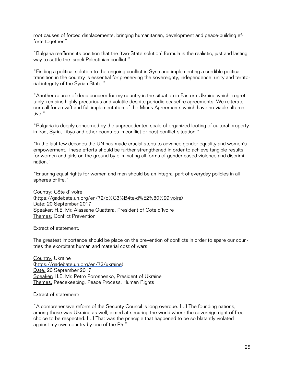root causes of forced displacements, bringing humanitarian, development and peace-building efforts together."

"Bulgaria reaffirms its position that the 'two-State solution' formula is the realistic, just and lasting way to settle the Israeli-Palestinian conflict."

"Finding a political solution to the ongoing conflict in Syria and implementing a credible political transition in the country is essential for preserving the sovereignty, independence, unity and territorial integrity of the Syrian State."

"Another source of deep concern for my country is the situation in Eastern Ukraine which, regrettably, remains highly precarious and volatile despite periodic ceasefire agreements. We reiterate our call for a swift and full implementation of the Minsk Agreements which have no viable alternative."

"Bulgaria is deeply concerned by the unprecedented scale of organized looting of cultural property in Iraq, Syria, Libya and other countries in conflict or post-conflict situation."

"In the last few decades the UN has made crucial steps to advance gender equality and women's empowerment. These efforts should be further strengthened in order to achieve tangible results for women and girls on the ground by eliminating all forms of gender-based violence and discrimination."

"Ensuring equal rights for women and men should be an integral part of everyday policies in all spheres of life."

Country: Côte d'Ivoire [\(https://gadebate.un.org/en/72/c%C3%B4te-d%E2%80%99ivoire\)](https://gadebate.un.org/en/72/c%252525C3%252525B4te-d%252525E2%25252580%25252599ivoire) Date: 20 September 2017 Speaker: H.E. Mr. Alassane Ouattara, President of Cote d'Ivoire Themes: Conflict Prevention

Extract of statement:

The greatest importance should be place on the prevention of conflicts in order to spare our countries the exorbitant human and material cost of wars.

Country: Ukraine [\(https://gadebate.un.org/en/72/ukraine](https://gadebate.un.org/en/72/ukraine)) Date: 20 September 2017 Speaker: H.E. Mr. Petro Poroshenko, President of Ukraine Themes: Peacekeeping, Peace Process, Human Rights

Extract of statement:

"A comprehensive reform of the Security Council is long overdue. [...] The founding nations, among those was Ukraine as well, aimed at securing the world where the sovereign right of free choice to be respected. [...] That was the principle that happened to be so blatantly violated against my own country by one of the P5."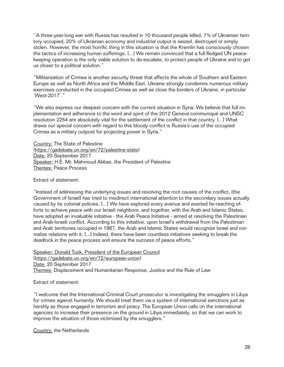"A three-year-long war with Russia has resulted in 10 thousand people killed, 7% of Ukrainian territory occupied, 20% of Ukrainian economy and industrial output is seized, destroyed or simply stolen. However, the most horrific thing in this situation is that the Kremlin has consciously chosen the tactics of increasing human sufferings. [...] We remain convinced that a full-fledged UN peacekeeping operation is the only viable solution to de-escalate, to protect people of Ukraine and to get us closer to a political solution."

"Militarization of Crimea is another security threat that affects the whole of Southern and Eastern Europe as well as North Africa and the Middle East. Ukraine strongly condemns numerous military exercises conducted in the occupied Crimea as well as close the borders of Ukraine, in particular 'West-2017'."

"We also express our deepest concern with the current situation in Syria. We believe that full implementation and adherence to the word and spirit of the 2012 Geneva communiqué and UNSC resolution 2254 are absolutely vital for the settlement of the conflict in that country. [...] What draws our special concern with regard to this bloody conflict is Russia's use of the occupied Crimea as a military outpost for projecting power in Syria."

Country: The State of Palestine [\(https://gadebate.un.org/en/72/palestine-state\)](https://gadebate.un.org/en/72/palestine-state) Date: 20 September 2017 Speaker: H.E. Mr. Mahmoud Abbas, the President of Palestine Themes: Peace Process

Extract of statement:

"Instead of addressing the underlying issues and resolving the root causes of the conflict, [the Government of Israel] has tried to misdirect international attention to the secondary issues actually caused by its colonial policies. [...] We have explored every avenue and exerted far-reaching efforts to achieve peace with our Israeli neighbors, and together, with the Arab and Islamic States, have adopted an invaluable initiative - the Arab Peace Initiative - aimed at resolving the Palestinian and Arab-Israeli conflict. According to this initiative, upon Israel's withdrawal from the Palestinian and Arab territories occupied in 1967, the Arab and Islamic States would recognize Israel and normalize relations with it. [...] Indeed, there have been countless initiatives seeking to break the deadlock in the peace process and ensure the success of peace efforts."

Speaker: Donald Tusk, President of the European Council [\(https://gadebate.un.org/en/72/european-union](https://gadebate.un.org/en/72/european-union)) Date: 20 September 2017 Themes: Displacement and Humanitarian Response, Justice and the Rule of Law

Extract of statement:

"I welcome that the International Criminal Court prosecutor is investigating the smugglers in Libya for crimes against humanity. We should treat them via a system of international sanctions just as harshly as those engaged in terrorism and piracy. The European Union calls on the international agencies to increase their presence on the ground in Libya immediately, so that we can work to improve the situation of those victimised by the smugglers."

Country: the Netherlands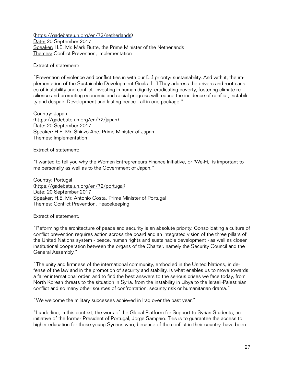[\(https://gadebate.un.org/en/72/netherlands](https://gadebate.un.org/en/72/netherlands)) Date: 20 September 2017 Speaker: H.E. Mr. Mark Rutte, the Prime Minister of the Netherlands Themes: Conflict Prevention, Implementation

Extract of statement:

"Prevention of violence and conflict ties in with our [...] priority: sustainability. And with it, the implementation of the Sustainable Development Goals. [...] They address the drivers and root causes of instability and conflict. Investing in human dignity, eradicating poverty, fostering climate resilience and promoting economic and social progress will reduce the incidence of conflict, instability and despair. Development and lasting peace - all in one package."

Country: Japan [\(https://gadebate.un.org/en/72/japan\)](https://gadebate.un.org/en/72/japan) Date: 20 September 2017 Speaker: H.E. Mr. Shinzo Abe, Prime Minister of Japan Themes: Implementation

Extract of statement:

"I wanted to tell you why the Women Entrepreneurs Finance Initiative, or 'We-Fi,' is important to me personally as well as to the Government of Japan."

Country: Portugal [\(https://gadebate.un.org/en/72/portugal\)](https://gadebate.un.org/en/72/portugal) Date: 20 September 2017 Speaker: H.E. Mr. Antonio Costa, Prime Minister of Portugal Themes: Conflict Prevention, Peacekeeping

Extract of statement:

"Reforming the architecture of peace and security is an absolute priority. Consolidating a culture of conflict prevention requires action across the board and an integrated vision of the three pillars of the United Nations system - peace, human rights and sustainable development - as well as closer institutional cooperation between the organs of the Charter, namely the Security Council and the General Assembly."

"The unity and firmness of the international community, embodied in the United Nations, in defense of the law and in the promotion of security and stability, is what enables us to move towards a fairer international order, and to find the best answers to the serious crises we face today, from North Korean threats to the situation in Syria, from the instability in Libya to the Israeli-Palestinian conflict and so many other sources of confrontation, security risk or humanitarian drama."

"We welcome the military successes achieved in Iraq over the past year."

"I underline, in this context, the work of the Global Platform for Support to Syrian Students, an initiative of the former President of Portugal, Jorge Sampaio. This is to guarantee the access to higher education for those young Syrians who, because of the conflict in their country, have been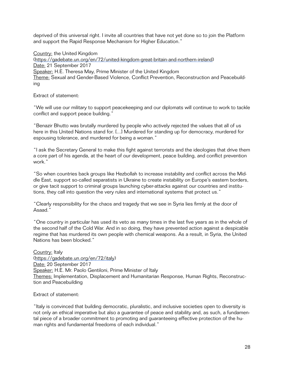deprived of this universal right. I invite all countries that have not yet done so to join the Platform and support the Rapid Response Mechanism for Higher Education."

Country: the United Kingdom [\(https://gadebate.un.org/en/72/united-kingdom-great-britain-and-northern-ireland](https://gadebate.un.org/en/72/united-kingdom-great-britain-and-northern-ireland)) Date: 21 September 2017 Speaker: H.E. Theresa May, Prime Minister of the United Kingdom Theme: Sexual and Gender-Based Violence, Conflict Prevention, Reconstruction and Peacebuilding

Extract of statement:

"We will use our military to support peacekeeping and our diplomats will continue to work to tackle conflict and support peace building."

"Benazir Bhutto was brutally murdered by people who actively rejected the values that all of us here in this United Nations stand for. [...] Murdered for standing up for democracy, murdered for espousing tolerance, and murdered for being a woman."

"I ask the Secretary General to make this fight against terrorists and the ideologies that drive them a core part of his agenda, at the heart of our development, peace building, and conflict prevention work."

"So when countries back groups like Hezbollah to increase instability and conflict across the Middle East, support so-called separatists in Ukraine to create instability on Europe's eastern borders, or give tacit support to criminal groups launching cyber-attacks against our countries and institutions, they call into question the very rules and international systems that protect us."

"Clearly responsibility for the chaos and tragedy that we see in Syria lies firmly at the door of Asaad."

"One country in particular has used its veto as many times in the last five years as in the whole of the second half of the Cold War. And in so doing, they have prevented action against a despicable regime that has murdered its own people with chemical weapons. As a result, in Syria, the United Nations has been blocked."

Country: Italy [\(https://gadebate.un.org/en/72/italy\)](https://gadebate.un.org/en/72/italy) Date: 20 September 2017 Speaker: H.E. Mr. Paolo Gentiloni, Prime Minister of Italy Themes: Implementation, Displacement and Humanitarian Response, Human Rights, Reconstruction and Peacebuilding

Extract of statement:

"Italy is convinced that building democratic, pluralistic, and inclusive societies open to diversity is not only an ethical imperative but also a guarantee of peace and stability and, as such, a fundamental piece of a broader commitment to promoting and guaranteeing effective protection of the human rights and fundamental freedoms of each individual."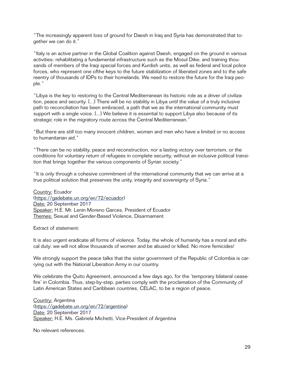"The increasingly apparent loss of ground for Daesh in Iraq and Syria has demonstrated that together we can do it."

"Italy is an active partner in the Global Coalition against Daesh, engaged on the ground in various activities: rehabilitating a fundamental infrastructure such as the Mosul Dike; and training thousands of members of the Iraqi special forces and Kurdish units, as well as federal and local police forces, who represent one ofthe keys to the future stabilization of liberated zones and to the safe reentry of thousands of IDPs to their homelands. We need to restore the future for the Iraqi people."

"Libya is the key to restoring to the Central Mediterranean its historic role as a driver of civilization, peace and security. [...] There will be no stability in Libya until the value of a truly inclusive path to reconciliation has been embraced, a path that we as the international community must support with a single voice. [...] We believe it is essential to support Libya also because of its strategic role in the migratory route across the Central Mediterranean."

"But there are still too many innocent children, women and men who have a limited or no access to humanitarian aid."

"There can be no stability, peace and reconstruction, nor a lasting victory over terrorism, or the conditions for voluntary return of refugees in complete security, without an inclusive political transition that brings together the various components of Syrian society."

"It is only through a cohesive commitment of the international community that we can arrive at a true political solution that preserves the unity, integrity and sovereignty of Syria."

Country: Ecuador [\(https://gadebate.un.org/en/72/ecuador](https://gadebate.un.org/en/72/ecuador)) Date: 20 September 2017 Speaker: H.E. Mr. Lenin Moreno Garces, President of Ecuador Themes: Sexual and Gender-Based Violence, Disarmament

Extract of statement:

It is also urgent eradicate all forms of violence. Today, the whole of humanity has a moral and ethical duty: we will not allow thousands of women and be abused or killed. No more femicides!

We strongly support the peace talks that the sister government of the Republic of Colombia is carrying out with the National Liberation Army in our country.

We celebrate the Quito Agreement, announced a few days ago, for the 'temporary bilateral ceasefire' in Colombia. Thus, step-by-step, parties comply with the proclamation of the Community of Latin American States and Caribbean countries, CELAC, to be a region of peace.

Country: Argentina [\(https://gadebate.un.org/en/72/argentina\)](https://gadebate.un.org/en/72/argentina) Date: 20 September 2017 Speaker: H.E. Ms. Gabriela Michetti, Vice-President of Argentina

No relevant references.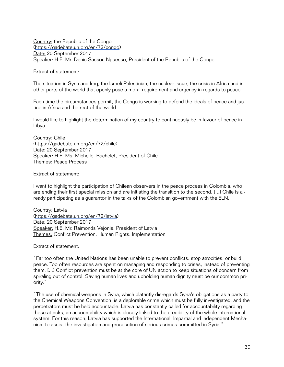Country: the Republic of the Congo [\(https://gadebate.un.org/en/72/congo](https://gadebate.un.org/en/72/congo)) Date: 20 September 2017 Speaker: H.E. Mr. Denis Sassou Nguesso, President of the Republic of the Congo

Extract of statement:

The situation in Syria and Iraq, the Israeli-Palestinian, the nuclear issue, the crisis in Africa and in other parts of the world that openly pose a moral requirement and urgency in regards to peace.

Each time the circumstances permit, the Congo is working to defend the ideals of peace and justice in Africa and the rest of the world.

I would like to highlight the determination of my country to continuously be in favour of peace in Libya.

Country: Chile [\(https://gadebate.un.org/en/72/chile\)](https://gadebate.un.org/en/72/chile) Date: 20 September 2017 Speaker: H.E. Ms. Michelle Bachelet, President of Chile Themes: Peace Process

Extract of statement:

I want to highlight the participation of Chilean observers in the peace process in Colombia, who are ending their first special mission and are initiating the transition to the second. [...] Chile is already participating as a guarantor in the talks of the Colombian government with the ELN.

Country: Latvia [\(https://gadebate.un.org/en/72/latvia](https://gadebate.un.org/en/72/latvia)) Date: 20 September 2017 Speaker: H.E. Mr. Raimonds Vejonis, President of Latvia Themes: Conflict Prevention, Human Rights, Implementation

Extract of statement:

"Far too often the United Nations has been unable to prevent conflicts, stop atrocities, or build peace. Too often resources are spent on managing and responding to crises, instead of preventing them. [...] Conflict prevention must be at the core of UN action to keep situations of concern from spiraling out of control. Saving human lives and upholding human dignity must be our common priority."

"The use of chemical weapons in Syria, which blatantly disregards Syria's obligations as a party to the Chemical Weapons Convention, is a deplorable crime which must be fully investigated, and the perpetrators must be held accountable. Latvia has constantly called for accountability regarding these attacks, an accountability which is closely linked to the credibility of the whole international system. For this reason, Latvia has supported the International, Impartial and Independent Mechanism to assist the investigation and prosecution of serious crimes committed in Syria."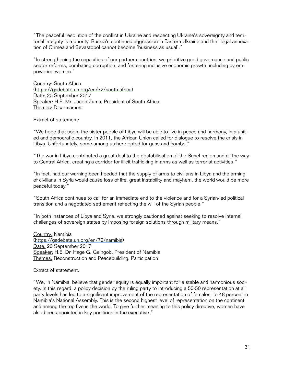"The peaceful resolution of the conflict in Ukraine and respecting Ukraine's sovereignty and territorial integrity is a priority. Russia's continued aggression in Eastern Ukraine and the illegal annexation of Crimea and Sevastopol cannot become 'business as usual'."

"In strengthening the capacities of our partner countries, we prioritize good governance and public sector reforms, combating corruption, and fostering inclusive economic growth, including by empowering women."

Country: South Africa [\(https://gadebate.un.org/en/72/south-africa](https://gadebate.un.org/en/72/south-africa)) Date: 20 September 2017 Speaker: H.E. Mr. Jacob Zuma, President of South Africa Themes: Disarmament

Extract of statement:

"We hope that soon, the sister people of Libya will be able to live in peace and harmony, in a united and democratic country. In 2011, the African Union called for dialogue to resolve the crisis in Libya. Unfortunately, some among us here opted for guns and bombs."

"The war in Libya contributed a great deal to the destabilisation of the Sahel region and all the way to Central Africa, creating a corridor for illicit trafficking in arms as well as terrorist activities."

"In fact, had our warning been heeded that the supply of arms to civilians in Libya and the arming of civilians in Syria would cause loss of life, great instability and mayhem, the world would be more peaceful today."

"South Africa continues to call for an immediate end to the violence and for a Syrian-led political transition and a negotiated settlement reflecting the will of the Syrian people."

"In both instances of Libya and Syria, we strongly cautioned against seeking to resolve internal challenges of sovereign states by imposing foreign solutions through military means."

Country: Namibia [\(https://gadebate.un.org/en/72/namibia\)](https://gadebate.un.org/en/72/namibia) Date: 20 September 2017 Speaker: H.E. Dr. Hage G. Geingob, President of Namibia Themes: Reconstruction and Peacebuilding, Participation

Extract of statement:

"We, in Namibia, believe that gender equity is equally important for a stable and harmonious society. In this regard, a policy decision by the ruling party to introducing a 50-50 representation at all party levels has led to a significant improvement of the representation of females, to 48 percent in Namibia's National Assembly. This is the second highest level of representation on the continent and among the top five in the world. To give further meaning to this policy directive, women have also been appointed in key positions in the executive."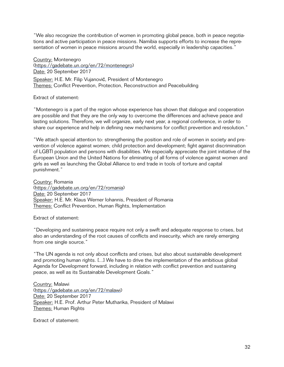"We also recognize the contribution of women in promoting global peace, both in peace negotiations and active participation in peace missions. Namibia supports efforts to increase the representation of women in peace missions around the world, especially in leadership capacities."

Country: Montenegro [\(https://gadebate.un.org/en/72/montenegro](https://gadebate.un.org/en/72/montenegro)) Date: 20 September 2017 Speaker: H.E. Mr. Filip Vujanović, President of Montenegro Themes: Conflict Prevention, Protection, Reconstruction and Peacebuilding

## Extract of statement:

"Montenegro is a part of the region whose experience has shown that dialogue and cooperation are possible and that they are the only way to overcome the differences and achieve peace and lasting solutions. Therefore, we will organize, early next year, a regional conference, in order to share our experience and help in defining new mechanisms for conflict prevention and resolution."

"We attach special attention to: strengthening the position and role of women in society and prevention of violence against women; child protection and development; fight against discrimination of LGBTl population and persons with disabilities. We especially appreciate the joint initiative of the European Union and the United Nations for eliminating of all forms of violence against women and girls as well as launching the Global Alliance to end trade in tools of torture and capital punishment."

Country: Romania [\(https://gadebate.un.org/en/72/romania\)](https://gadebate.un.org/en/72/romania) Date: 20 September 2017 Speaker: H.E. Mr. Klaus Werner Iohannis, President of Romania Themes: Conflict Prevention, Human Rights, Implementation

Extract of statement:

"Developing and sustaining peace require not only a swift and adequate response to crises, but also an understanding of the root causes of conflicts and insecurity, which are rarely emerging from one single source."

"The UN agenda is not only about conflicts and crises, but also about sustainable development and promoting human rights. [...] We have to drive the implementation of the ambitious global Agenda for Development forward, including in relation with conflict prevention and sustaining peace, as well as its Sustainable Development Goals."

Country: Malawi [\(https://gadebate.un.org/en/72/malawi](https://gadebate.un.org/en/72/malawi)) Date: 20 September 2017 Speaker: H.E. Prof. Arthur Peter Mutharika, President of Malawi Themes: Human Rights

Extract of statement: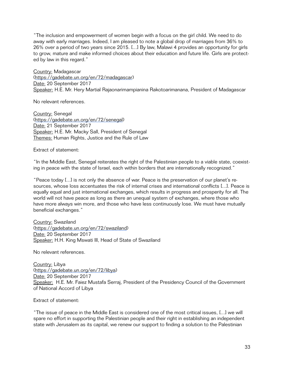"The inclusion and empowerment of women begin with a focus on the girl child. We need to do away with early marriages. Indeed, I am pleased to note a global drop of marriages from 36% to 26% over a period of two years since 2015. [...] By law, Malawi 4 provides an opportunity for girls to grow, mature and make informed choices about their education and future life. Girls are protected by law in this regard."

Country: Madagascar [\(https://gadebate.un.org/en/72/madagascar](https://gadebate.un.org/en/72/madagascar)) Date: 20 September 2017 Speaker: H.E. Mr. Hery Martial Rajaonarimampianina Rakotoarimanana, President of Madagascar

No relevant references.

Country: Senegal [\(https://gadebate.un.org/en/72/senegal\)](https://gadebate.un.org/en/72/senegal) Date: 21 September 2017 Speaker: H.E. Mr. Macky Sall, President of Senegal Themes: Human Rights, Justice and the Rule of Law

Extract of statement:

"In the Middle East, Senegal reiterates the right of the Palestinian people to a viable state, coexisting in peace with the state of Israel, each within borders that are internationally recognized."

"Peace today [...] is not only the absence of war. Peace is the preservation of our planet's resources, whose loss accentuates the risk of internal crises and international conflicts [...]. Peace is equally equal and just international exchanges, which results in progress and prosperity for all. The world will not have peace as long as there an unequal system of exchanges, where those who have more always win more, and those who have less continuously lose. We must have mutually beneficial exchanges."

Country: Swaziland [\(https://gadebate.un.org/en/72/swaziland\)](https://gadebate.un.org/en/72/swaziland) Date: 20 September 2017 Speaker: H.H. King Mswati III, Head of State of Swaziland

No relevant references.

Country: Libya [\(https://gadebate.un.org/en/72/libya](https://gadebate.un.org/en/72/libya)) Date: 20 September 2017 Speaker: H.E. Mr. Faiez Mustafa Serraj, President of the Presidency Council of the Government of National Accord of Libya

Extract of statement:

"The issue of peace in the Middle East is considered one of the most critical issues, [...] we will spare no effort in supporting the Palestinian people and their right in establishing an independent state with Jerusalem as its capital, we renew our support to finding a solution to the Palestinian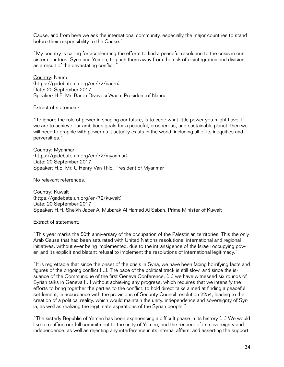Cause, and from here we ask the international community, especially the major countries to stand before their responsibility to the Cause."

"My country is calling for accelerating the efforts to find a peaceful resolution to the crisis in our sister countries, Syria and Yemen, to push them away from the risk of disintegration and division as a result of the devastating conflict."

Country: Nauru [\(https://gadebate.un.org/en/72/nauru](https://gadebate.un.org/en/72/nauru)) Date: 20 September 2017 Speaker: H.E. Mr. Baron Divavesi Waqa, President of Nauru

Extract of statement:

"To ignore the role of power in shaping our future, is to cede what little power you might have. If we are to achieve our ambitious goals for a peaceful, prosperous, and sustainable planet, then we will need to grapple with power as it actually exists in the world, including all of its inequities and perversities."

Country: Myanmar [\(https://gadebate.un.org/en/72/myanmar](https://gadebate.un.org/en/72/myanmar)) Date: 20 September 2017 Speaker: H.E. Mr. U Henry Van Thio, President of Myanmar

No relevant references.

Country: Kuwait [\(https://gadebate.un.org/en/72/kuwait](https://gadebate.un.org/en/72/kuwait)) Date: 20 September 2017 Speaker: H.H. Sheikh Jaber Al Mubarak Al Hamad Al Sabah, Prime Minister of Kuwait

Extract of statement:

"This year marks the 50th anniversary of the occupation of the Palestinian territories. This the only Arab Cause that had been saturated with United Nations resolutions, international and regional initiatives, without ever being implemented, due to the intransigence of the Israeli occupying power, and its explicit and blatant refusal to implement the resolutions of international legitimacy."

"It is regrettable that since the onset of the crisis in Syria, we have been facing horrifying facts and figures of the ongoing conflict [...]. The pace of the political track is still slow, and since the issuance of the Communique of the first Geneva Conference, [...] we have witnessed six rounds of Syrian talks in Geneva [...] without achieving any progress; which requires that we intensify the efforts to bring together the parties to the conflict, to hold direct talks aimed at finding a peaceful settlement, in accordance with the provisions of Security Council resolution 2254, leading to the creation of a political reality, which would maintain the unity, independence and sovereignty of Syria, as well as realizing the legitimate aspirations of the Syrian people."

"The sisterly Republic of Yemen has been experiencing a difficult phase in its history [...] We would like to reaffirm our full commitment to the unity of Yemen, and the respect of its sovereignty and independence, as well as rejecting any interference in its internal affairs, and asserting the support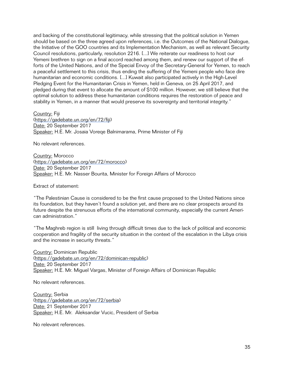and backing of the constitutional legitimacy, while stressing that the political solution in Yemen should be based on the three agreed upon references, i.e. the Outcomes of the National Dialogue, the Initiative of the GOO countries and its Implementation Mechanism, as well as relevant Security Council resolutions, particularly, resolution 2216. [...] We reiterate our readiness to host our Yemeni brethren to sign on a final accord reached among them, and renew our support of the efforts of the United Nations, and of the Special Envoy of the Secretary-General for Yemen, to reach a peaceful settlement to this crisis, thus ending the suffering of the Yemeni people who face dire humanitarian and economic conditions. [...] Kuwait also participated actively in the High-Level Pledging Event for the Humanitarian Crisis in Yemen, held in Geneva, on 25 April 2017, and pledged during that event to allocate the amount of \$100 million. However, we still believe that the optimal solution to address these humanitarian conditions requires the restoration of peace and stability in Yemen, in a manner that would preserve its sovereignty and territorial integrity."

Country: Fiji [\(https://gadebate.un.org/en/72/fiji\)](https://gadebate.un.org/en/72/fiji) Date: 20 September 2017 Speaker: H.E. Mr. Josaia Voreqe Balnimarama, Prime Minister of Fiji

No relevant references.

Country: Morocco [\(https://gadebate.un.org/en/72/morocco\)](https://gadebate.un.org/en/72/morocco) Date: 20 September 2017 Speaker: H.E. Mr. Nasser Bourita, Minister for Foreign Affairs of Morocco

Extract of statement:

"The Palestinian Cause is considered to be the first cause proposed to the United Nations since its foundation, but they haven't found a solution yet, and there are no clear prospects around its future despite the strenuous efforts of the international community, especially the current American administration."

"The Maghreb region is still living through difficult times due to the lack of political and economic cooperation and fragility of the security situation in the context of the escalation in the Libya crisis and the increase in security threats."

Country: Dominican Republic [\(https://gadebate.un.org/en/72/dominican-republic](https://gadebate.un.org/en/72/dominican-republic)) Date: 20 September 2017 Speaker: H.E. Mr. Miguel Vargas, Minister of Foreign Affairs of Dominican Republic

No relevant references.

Country: Serbia [\(https://gadebate.un.org/en/72/serbia\)](https://gadebate.un.org/en/72/serbia) Date: 21 September 2017 Speaker: H.E. Mr. Aleksandar Vucic, President of Serbia

No relevant references.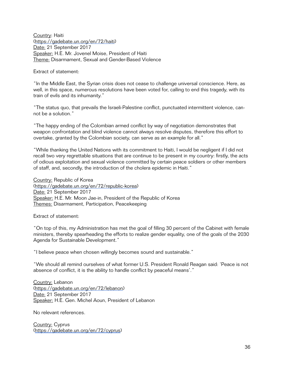Country: Haiti [\(https://gadebate.un.org/en/72/haiti](https://gadebate.un.org/en/72/haiti)) Date: 21 September 2017 Speaker: H.E. Mr. Jovenel Moise, President of Haiti Theme: Disarmament, Sexual and Gender-Based Violence

Extract of statement:

"In the Middle East, the Syrian crisis does not cease to challenge universal conscience. Here, as well, in this space, numerous resolutions have been voted for, calling to end this tragedy, with its train of evils and its inhumanity."

"The status quo, that prevails the Israeli-Palestine conflict, punctuated intermittent violence, cannot be a solution."

"The happy ending of the Colombian armed conflict by way of negotiation demonstrates that weapon confrontation and blind violence cannot always resolve disputes, therefore this effort to overtake, granted by the Colombian society, can serve as an example for all."

"While thanking the United Nations with its commitment to Haiti, I would be negligent if I did not recall two very regrettable situations that are continue to be present in my country: firstly, the acts of odious exploitation and sexual violence committed by certain peace soldiers or other members of staff, and, secondly, the introduction of the cholera epidemic in Haiti."

Country: Republic of Korea [\(https://gadebate.un.org/en/72/republic-korea](https://gadebate.un.org/en/72/republic-korea)) Date: 21 September 2017 Speaker: H.E. Mr. Moon Jae-in, President of the Republic of Korea Themes: Disarmament, Participation, Peacekeeping

Extract of statement:

"On top of this, my Administration has met the goal of filling 30 percent of the Cabinet with female ministers, thereby spearheading the efforts to realize gender equality, one of the goals of the 2030 Agenda for Sustainable Development."

"I believe peace when chosen willingly becomes sound and sustainable."

"We should all remind ourselves of what former U.S. President Ronald Reagan said: 'Peace is not absence of conflict, it is the ability to handle conflict by peaceful means'."

Country: Lebanon [\(https://gadebate.un.org/en/72/lebanon](https://gadebate.un.org/en/72/lebanon)) Date: 21 September 2017 Speaker: H.E. Gen. Michel Aoun, President of Lebanon

No relevant references.

Country: Cyprus [\(https://gadebate.un.org/en/72/cyprus\)](https://gadebate.un.org/en/72/cyprus)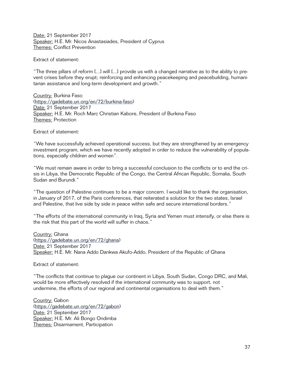Date: 21 September 2017 Speaker: H.E. Mr. Nicos Anastasiades, President of Cyprus Themes: Conflict Prevention

Extract of statement:

"The three pillars of reform [...] will [...] provide us with a changed narrative as to the ability to prevent crises before they erupt; reinforcing and enhancing peacekeeping and peacebuilding, humanitarian assistance and long-term development and growth."

Country: Burkina Faso [\(https://gadebate.un.org/en/72/burkina-faso\)](https://gadebate.un.org/en/72/burkina-faso) Date: 21 September 2017 Speaker: H.E. Mr. Roch Marc Christian Kabore, President of Burkina Faso Themes: Protection

Extract of statement:

"We have successfully achieved operational success, but they are strengthened by an emergency investment program, which we have recently adopted in order to reduce the vulnerability of populations, especially children and women".

"We must remain aware in order to bring a successful conclusion to the conflicts or to end the crisis in Libya, the Democratic Republic of the Congo, the Central African Republic, Somalia, South Sudan and Burundi."

"The question of Palestine continues to be a major concern. I would like to thank the organisation, in January of 2017, of the Paris conferences, that reiterated a solution for the two states, Israel and Palestine, that live side by side in peace within safe and secure international borders."

"The efforts of the international community in Iraq, Syria and Yemen must intensify, or else there is the risk that this part of the world will suffer in chaos."

Country: Ghana [\(https://gadebate.un.org/en/72/ghana](https://gadebate.un.org/en/72/ghana)) Date: 21 September 2017 Speaker: H.E. Mr. Nana Addo Dankwa Akufo-Addo, President of the Republic of Ghana

Extract of statement:

"The conflicts that continue to plague our continent in Libya, South Sudan, Congo DRC, and Mali, would be more effectively resolved if the international community was to support, not undermine, the efforts of our regional and continental organisations to deal with them."

Country: Gabon [\(https://gadebate.un.org/en/72/gabon](https://gadebate.un.org/en/72/gabon)) Date: 21 September 2017 Speaker: H.E. Mr. Ali Bongo Ondimba Themes: Disarmament, Participation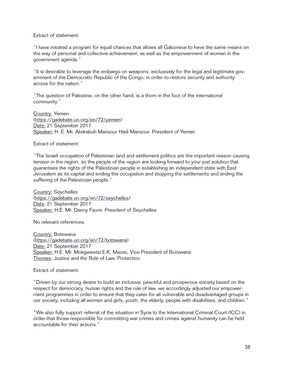# Extract of statement:

"I have initiated a program for equal chances that allows all Gabonese to have the same means on the way of personal and collective achievement, as well as the empowerment of women in the government agenda."

"It is desirable to leverage the embargo on weapons, exclusively for the legal and legitimate government of the Democratic Republic of the Congo, in order to restore security and authority across for the nation."

"The question of Palestine, on the other hand, is a thorn in the foot of the international community."

Country: Yemen [\(https://gadebate.un.org/en/72/yemen\)](https://gadebate.un.org/en/72/yemen) Date: 21 September 2017 Speaker: H. E. Mr. Abdrabuh Mansour Hadi Mansour, President of Yemen

Extract of statement:

"The Israeli occupation of Palestinian land and settlement politics are the important reason causing tension in the region, so the people of the region are looking forward to your just solution that guarantees the rights of the Palestinian people in establishing an independent state with East Jerusalem as its capital and ending the occupation and stopping the settlements and ending the suffering of the Palestinian people."

Country: Seychelles [\(https://gadebate.un.org/en/72/seychelles\)](https://gadebate.un.org/en/72/seychelles) Date: 21 September 2017 Speaker: H.E. Mr. Danny Faure, President of Seychelles

No relevant references.

Country: Botswana [\(https://gadebate.un.org/en/72/botswana\)](https://gadebate.un.org/en/72/botswana) Date: 21 September 2017 Speaker: H.E. Mr. Mokgweetsi E.K. Masisi, Vice President of Botswana Themes: Justice and the Rule of Law, Protection

Extract of statement:

"Driven by our strong desire to build an inclusive, peaceful and prosperous society based on the respect for democracy, human rights and the rule of law, we accordingly adjusted our empowerment programmes in order to ensure that they cater for all vulnerable and disadvantaged groups in our society, including all women and girls, youth, the elderly, people with disabilities, and children."

"We also fully support referral of the situation in Syria to the International Criminal Court (ICC) in order that those responsible for committing war crimes and crimes against humanity can be held accountable for their actions."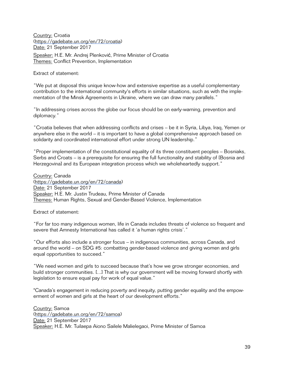Country: Croatia [\(https://gadebate.un.org/en/72/croatia](https://gadebate.un.org/en/72/croatia)) Date: 21 September 2017 Speaker: H.E. Mr. Andrej Plenković, Prime Minister of Croatia Themes: Conflict Prevention, Implementation

Extract of statement:

"We put at disposal this unique know-how and extensive expertise as a useful complementary contribution to the international community's efforts in similar situations, such as with the implementation of the Minsk Agreements in Ukraine, where we can draw many parallels."

"In addressing crises across the globe our focus should be on early-warning, prevention and diplomacy."

"Croatia believes that when addressing conflicts and crises – be it in Syria, Libya, Iraq, Yemen or anywhere else in the world – it is important to have a global comprehensive approach based on solidarity and coordinated international effort under strong UN leadership."

"Proper implementation of the constitutional equality of its three constituent peoples – Bosniaks, Serbs and Croats – is a prerequisite for ensuring the full functionality and stability of [Bosnia and Herzegovina] and its European integration process which we wholeheartedly support."

Country: Canada [\(https://gadebate.un.org/en/72/canada\)](https://gadebate.un.org/en/72/canada) Date: 21 September 2017 Speaker: H.E. Mr. Justin Trudeau, Prime Minister of Canada Themes: Human Rights, Sexual and Gender-Based Violence, Implementation

Extract of statement:

"For far too many indigenous women, life in Canada includes threats of violence so frequent and severe that Amnesty International has called it 'a human rights crisis'."

"Our efforts also include a stronger focus – in indigenous communities, across Canada, and around the world – on SDG #5: combatting gender-based violence and giving women and girls equal opportunities to succeed."

"We need women and girls to succeed because that's how we grow stronger economies, and build stronger communities. [...] That is why our government will be moving forward shortly with legislation to ensure equal pay for work of equal value."

"Canada's engagement in reducing poverty and inequity, putting gender equality and the empowerment of women and girls at the heart of our development efforts."

Country: Samoa [\(https://gadebate.un.org/en/72/samoa](https://gadebate.un.org/en/72/samoa)) Date: 21 September 2017 Speaker: H.E. Mr. Tuilaepa Aiono Sailele Malielegaoi, Prime Minister of Samoa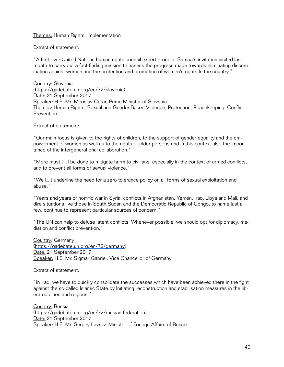# **Themes: Human Rights, Implementation**

Extract of statement:

"A first ever United Nations human rights council expert group at Samoa's invitation visited last month to carry out a fact-finding mission to assess the progress made towards eliminating discrimination against women and the protection and promotion of women's rights In the country."

Country: Slovenia [\(https://gadebate.un.org/en/72/slovenia\)](https://gadebate.un.org/en/72/slovenia) Date: 21 September 2017 Speaker: H.E. Mr. Miroslav Cerar, Prime Minister of Slovenia Themes: Human Rights, Sexual and Gender-Based Violence, Protection, Peacekeeping, Conflict **Prevention** 

Extract of statement:

"Our main focus is given to the rights of children, to the support of gender equality and the empowerment of women as well as to the rights of older persons and in this context also the importance of the intergenerational collaboration."

"More must [...] be done to mitigate harm to civilians, especially in the context of armed conflicts, and to prevent all forms of sexual violence."

"We [...] underline the need for a zero tolerance policy on all forms of sexual exploitation and abuse."

"Years and years of horrific war in Syria, conflicts in Afghanistan, Yemen, Iraq, Libya and Mali, and dire situations like those in South Sudan and the Democratic Republic of Congo, to name just a few, continue to represent particular sources of concern."

"The UN can help to defuse latent conflicts. Whenever possible, we should opt for diplomacy, mediation and conflict prevention."

Country: Germany [\(https://gadebate.un.org/en/72/germany\)](https://gadebate.un.org/en/72/germany) Date: 21 September 2017 Speaker: H.E. Mr. Sigmar Gabriel, Vice Chancellor of Germany

Extract of statement:

"In Iraq, we have to quickly consolidate the successes which have been achieved there in the fight against the so-called Islamic State by Initiating reconstruction and stabilisation measures in the liberated cities and regions."

Country: Russia [\(https://gadebate.un.org/en/72/russian-federation\)](https://gadebate.un.org/en/72/russian-federation) Date: 21 September 2017 Speaker: H.E. Mr. Sergey Lavrov, Minister of Foreign Affairs of Russia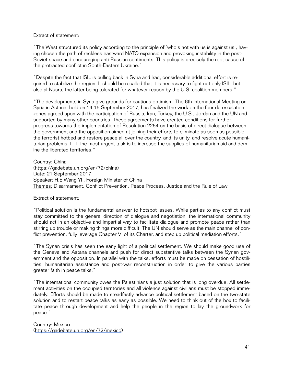# Extract of statement:

"The West structured its policy according to the principle of 'who's not with us is against us', having chosen the path of reckless eastward NATO expansion and provoking instability in the post-Soviet space and encouraging anti-Russian sentiments. This policy is precisely the root cause of the protracted conflict in South-Eastern Ukraine."

"Despite the fact that ISIL is pulling back in Syria and Iraq, considerable additional effort is required to stabilize the region. It should be recalled that it is necessary to fight not only ISIL, but also al-Nusra, the latter being tolerated for whatever reason by the U.S. coalition members."

"The developments in Syria give grounds for cautious optimism. The 6th International Meeting on Syria in Astana, held on 14-15 September 2017, has finalized the work on the four de-escalation zones agreed upon with the participation of Russia, Iran, Turkey, the U.S., Jordan and the UN and supported by many other countries. These agreements have created conditions for further progress towards the implementation of Resolution 2254 on the basis of direct dialogue between the government and the opposition aimed at joining their efforts to eliminate as soon as possible the terrorist hotbed and restore peace all over the country, and its unity, and resolve acute humanitarian problems. [...] The most urgent task is to increase the supplies of humanitarian aid and demine the liberated territories."

Country: China [\(https://gadebate.un.org/en/72/china\)](https://gadebate.un.org/en/72/china) Date: 21 September 2017 Speaker: H.E Wang Yi, Foreign Minister of China Themes: Disarmament, Conflict Prevention, Peace Process, Justice and the Rule of Law

#### Extract of statement:

"Political solution is the fundamental answer to hotspot issues. While parties to any conflict must stay committed to the general direction of dialogue and negotiation, the international community should act in an objective and impartial way to facilitate dialogue and promote peace rather than stirring up trouble or making things more difficult. The UN should serve as the main channel of conflict prevention, fully leverage Chapter VI of its Charter, and step up political mediation efforts."

"The Syrian crisis has seen the early light of a political settlement. We should make good use of the Geneva and Astana channels and push for direct substantive talks between the Syrian government and the opposition. In parallel with the talks, efforts must be made on cessation of hostilities, humanitarian assistance and post-war reconstruction in order to give the various parties greater faith in peace talks."

"The international community owes the Palestinians a just solution that is long overdue. All settlement activities on the occupied territories and all violence against civilians must be stopped immediately. Efforts should be made to steadfastly advance political settlement based on the two-state solution and to restart peace talks as early as possible. We need to think out of the box to facilitate peace through development and help the people in the region to lay the groundwork for peace."

Country: Mexico [\(https://gadebate.un.org/en/72/mexico\)](https://gadebate.un.org/en/72/mexico)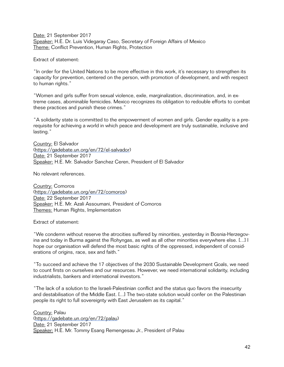Date: 21 September 2017 Speaker: H.E. Dr. Luis Videgaray Caso, Secretary of Foreign Affairs of Mexico Theme: Conflict Prevention, Human Rights, Protection

Extract of statement:

"In order for the United Nations to be more effective in this work, it's necessary to strengthen its capacity for prevention, centered on the person, with promotion of development, and with respect to human rights."

"Women and girls suffer from sexual violence, exile, marginalization, discrimination, and, in extreme cases, abominable femicides. Mexico recognizes its obligation to redouble efforts to combat these practices and punish these crimes."

"A solidarity state is committed to the empowerment of women and girls. Gender equality is a prerequisite for achieving a world in which peace and development are truly sustainable, inclusive and lasting."

Country: El Salvador [\(https://gadebate.un.org/en/72/el-salvador](https://gadebate.un.org/en/72/el-salvador)) Date: 21 September 2017 Speaker: H.E. Mr. Salvador Sanchez Ceren, President of El Salvador

No relevant references.

Country: Comoros [\(https://gadebate.un.org/en/72/comoros\)](https://gadebate.un.org/en/72/comoros) Date: 22 September 2017 Speaker: H.E. Mr. Azali Assoumani, President of Comoros Themes: Human Rights, Implementation

Extract of statement:

"We condemn without reserve the atrocities suffered by minorities, yesterday in Bosnia-Herzegovina and today in Burma against the Rohyngas, as well as all other minorities everywhere else. [...] I hope our organisation will defend the most basic rights of the oppressed, independent of considerations of origins, race, sex and faith."

"To succeed and achieve the 17 objectives of the 2030 Sustainable Development Goals, we need to count firsts on ourselves and our resources. However, we need international solidarity, including industrialists, bankers and international investors."

"The lack of a solution to the Israeli-Palestinian conflict and the status quo favors the insecurity and destabilisation of the Middle East. [...] The two-state solution would confer on the Palestinian people its right to full sovereignty with East Jerusalem as its capital."

Country: Palau [\(https://gadebate.un.org/en/72/palau\)](https://gadebate.un.org/en/72/palau) Date: 21 September 2017 Speaker: H.E. Mr. Tommy Esang Remengesau Jr., President of Palau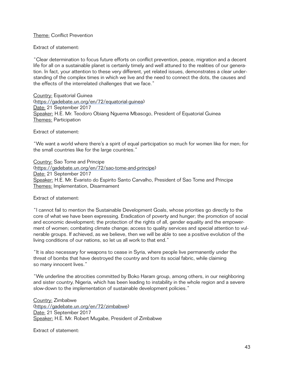Theme: Conflict Prevention

Extract of statement:

"Clear determination to focus future efforts on conflict prevention, peace, migration and a decent life for all on a sustainable planet is certainly timely and well attuned to the realities of our generation. In fact, your attention to these very different, yet related issues, demonstrates a clear understanding of the complex times in which we live and the need to connect the dots, the causes and the effects of the interrelated challenges that we face."

Country: Equatorial Guinea [\(https://gadebate.un.org/en/72/equatorial-guinea\)](https://gadebate.un.org/en/72/equatorial-guinea) Date: 21 September 2017 Speaker: H.E. Mr. Teodoro Obiang Nguema Mbasogo, President of Equatorial Guinea Themes: Participation

Extract of statement:

"We want a world where there's a spirit of equal participation so much for women like for men; for the small countries like for the large countries."

Country: Sao Tome and Principe [\(https://gadebate.un.org/en/72/sao-tome-and-principe](https://gadebate.un.org/en/72/sao-tome-and-principe)) Date: 21 September 2017 Speaker: H.E. Mr. Evaristo do Espirito Santo Carvalho, President of Sao Tome and Principe Themes: Implementation, Disarmament

Extract of statement:

"I cannot fail to mention the Sustainable Development Goals, whose priorities go directly to the core of what we have been expressing. Eradication of poverty and hunger; the promotion of social and economic development; the protection of the rights of all, gender equality and the empowerment of women; combating climate change; access to quality services and special attention to vulnerable groups. If achieved, as we believe, then we will be able to see a positive evolution of the living conditions of our nations, so let us all work to that end."

"It is also necessary for weapons to cease in Syria, where people live permanently under the threat of bombs that have destroyed the country and torn its social fabric, while claiming so many innocent lives."

"We underline the atrocities committed by Boko Haram group, among others, in our neighboring and sister country, Nigeria, which has been leading to instability in the whole region and a severe slow-down to the implementation of sustainable development policies."

Country: Zimbabwe [\(https://gadebate.un.org/en/72/zimbabwe](https://gadebate.un.org/en/72/zimbabwe)) Date: 21 September 2017 Speaker: H.E. Mr. Robert Mugabe, President of Zimbabwe

Extract of statement: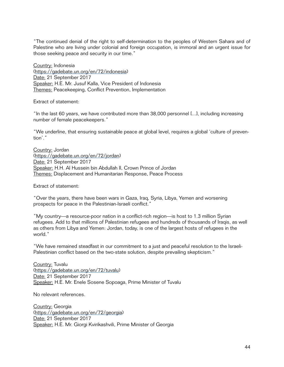"The continued denial of the right to self-determination to the peoples of Western Sahara and of Palestine who are living under colonial and foreign occupation, is immoral and an urgent issue for those seeking peace and security in our time."

Country: Indonesia (https://gadebate.un.org/en/72/indonesia) Date: 21 September 2017 Speaker: H.E. Mr. Jusuf Kalla, Vice President of Indonesia Themes: Peacekeeping, Conflict Prevention, Implementation

Extract of statement:

"In the last 60 years, we have contributed more than 38,000 personnel [...], including increasing number of female peacekeepers."

"We underline, that ensuring sustainable peace at global level, requires a global 'culture of prevention'."

Country: Jordan [\(https://gadebate.un.org/en/72/jordan](https://gadebate.un.org/en/72/jordan)) Date: 21 September 2017 Speaker: H.H. Al Hussein bin Abdullah II, Crown Prince of Jordan Themes: Displacement and Humanitarian Response, Peace Process

Extract of statement:

"Over the years, there have been wars in Gaza, Iraq, Syria, Libya, Yemen and worsening prospects for peace in the Palestinian-Israeli conflict."

"My country—a resource-poor nation in a conflict-rich region—is host to 1.3 million Syrian refugees. Add to that millions of Palestinian refugees and hundreds of thousands of Iraqis, as well as others from Libya and Yemen: Jordan, today, is one of the largest hosts of refugees in the world."

"We have remained steadfast in our commitment to a just and peaceful resolution to the Israeli-Palestinian conflict based on the two-state solution, despite prevailing skepticism."

Country: Tuvalu [\(https://gadebate.un.org/en/72/tuvalu\)](https://gadebate.un.org/en/72/tuvalu) Date: 21 September 2017 Speaker: H.E. Mr. Enele Sosene Sopoaga, Prime Minister of Tuvalu

No relevant references.

Country: Georgia [\(https://gadebate.un.org/en/72/georgia](https://gadebate.un.org/en/72/georgia)) Date: 21 September 2017 Speaker: H.E. Mr. Giorgi Kvirikashvili, Prime Minister of Georgia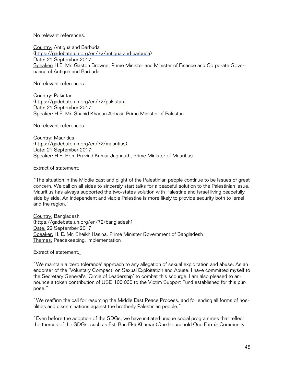No relevant references.

Country: Antigua and Barbuda [\(https://gadebate.un.org/en/72/antigua-and-barbuda\)](https://gadebate.un.org/en/72/antigua-and-barbuda) Date: 21 September 2017 Speaker: H.E. Mr. Gaston Browne, Prime Minister and Minister of Finance and Corporate Governance of Antigua and Barbuda

No relevant references.

Country: Pakistan [\(https://gadebate.un.org/en/72/pakistan](https://gadebate.un.org/en/72/pakistan)) Date: 21 September 2017 Speaker: H.E. Mr. Shahid Khaqan Abbasi, Prime Minister of Pakistan

No relevant references.

Country: Mauritius [\(https://gadebate.un.org/en/72/mauritius\)](https://gadebate.un.org/en/72/mauritius) Date: 21 September 2017 Speaker: H.E. Hon. Pravind Kumar Jugnauth, Prime Minister of Mauritius

Extract of statement:

"The situation in the Middle East and plight of the Palestinian people continue to be issues of great concern. We call on all sides to sincerely start talks for a peaceful solution to the Palestinian issue. Mauritius has always supported the two-states solution with Palestine and Israel living peacefully side by side. An independent and viable Palestine is more likely to provide security both to Israel and the region."

Country: Bangladesh [\(https://gadebate.un.org/en/72/bangladesh\)](https://gadebate.un.org/en/72/bangladesh) Date: 22 September 2017 Speaker: H. E. Mr. Sheikh Hasina, Prime Minister Government of Bangladesh Themes: Peacekeeping, Implementation

Extract of statement:

"We maintain a 'zero tolerance' approach to any allegation of sexual exploitation and abuse. As an endorser of the 'Voluntary Compact' on Sexual Exploitation and Abuse, I have committed myself to the Secretary General's 'Circle of Leadership' to combat this scourge. I am also pleased to announce a token contribution of USD 100,000 to the Victim Support Fund established for this purpose."

"We reaffirm the call for resuming the Middle East Peace Process, and for ending all forms of hostilities and discriminations against the brotherly Palestinian people."

"Even before the adoption of the SDGs, we have initiated unique social programmes that reflect the themes of the SDGs, such as Ekti Bari Ekti Khamar (One Household One Farm); Community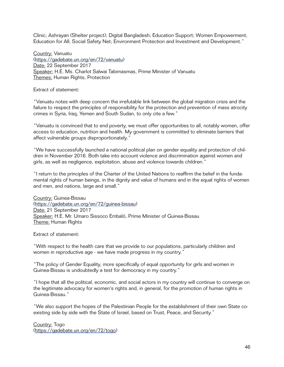Clinic; Ashrayan (Shelter project); Digital Bangladesh; Education Support; Women Empowerment; Education for All; Social Safety Net; Environment Protection and Investment and Development."

Country: Vanuatu [\(https://gadebate.un.org/en/72/vanuatu\)](https://gadebate.un.org/en/72/vanuatu) Date: 22 September 2017 Speaker: H.E. Ms. Charlot Salwai Tabimasmas, Prime Minister of Vanuatu Themes: Human Rights, Protection

Extract of statement:

"Vanuatu notes with deep concern the irrefutable link between the global migration crisis and the failure to respect the principles of responsibility for the protection and prevention of mass atrocity crimes in Syria, Iraq, Yemen and South Sudan, to only cite a few."

"Vanuatu is convinced that to end poverty, we must offer opportunities to all, notably women, offer access to education, nutrition and health. My government is committed to eliminate barriers that affect vulnerable groups disproportionately."

"We have successfully launched a national political plan on gender equality and protection of children in November 2016. Both take into account violence and discrimination against women and girls, as well as negligence, exploitation, abuse and violence towards children."

"I return to the principles of the Charter of the United Nations to reaffirm the belief in the fundamental rights of human beings, in the dignity and value of humans and in the equal rights of women and men, and nations, large and small."

Country: Guinea-Bissau [\(https://gadebate.un.org/en/72/guinea-bissau\)](https://gadebate.un.org/en/72/guinea-bissau) Date: 21 September 2017 Speaker: H.E. Mr. Umaro Sissoco Embaló, Prime Minister of Guinea-Bissau Theme: Human Rights

Extract of statement:

"With respect to the health care that we provide to our populations, particularly children and women in reproductive age - we have made progress in my country."

"The policy of Gender Equality, more specifically of equal opportunity for girls and women in Guinea-Bissau is undoubtedly a test for democracy in my country."

"I hope that all the political, economic, and social actors in my country will continue to converge on the legitimate advocacy for women's rights and, in general, for the promotion of human rights in Guinea-Bissau."

"We also support the hopes of the Palestinian People for the establishment of their own State coexisting side by side with the State of Israel, based on Trust, Peace, and Security."

Country: Togo [\(https://gadebate.un.org/en/72/togo\)](https://gadebate.un.org/en/72/togo)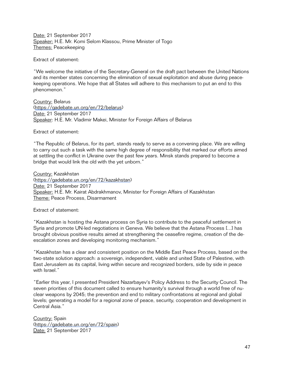Date: 21 September 2017 Speaker: H.E. Mr. Komi Selom Klassou, Prime Minister of Togo Themes: Peacekeeping

Extract of statement:

"We welcome the initiative of the Secretary-General on the draft pact between the United Nations and its member states concerning the elimination of sexual exploitation and abuse during peacekeeping operations. We hope that all States will adhere to this mechanism to put an end to this phenomenon."

Country: Belarus [\(https://gadebate.un.org/en/72/belarus](https://gadebate.un.org/en/72/belarus)) Date: 21 September 2017 Speaker: H.E. Mr. Vladimir Makei, Minister for Foreign Affairs of Belarus

Extract of statement:

"The Republic of Belarus, for its part, stands ready to serve as a convening place. We are willing to carry out such a task with the same high degree of responsibility that marked our efforts aimed at settling the conflict in Ukraine over the past few years. Minsk stands prepared to become a bridge that would link the old with the yet unborn."

Country: Kazakhstan [\(https://gadebate.un.org/en/72/kazakhstan\)](https://gadebate.un.org/en/72/kazakhstan) Date: 21 September 2017 Speaker: H.E. Mr. Kairat Abdrakhmanov, Minister for Foreign Affairs of Kazakhstan Theme: Peace Process, Disarmament

Extract of statement:

"Kazakhstan is hosting the Astana process on Syria to contribute to the peaceful settlement in Syria and promote UN-led negotiations in Geneva. We believe that the Astana Process [...] has brought obvious positive results aimed at strengthening the ceasefire regime, creation of the deescalation zones and developing monitoring mechanism."

"Kazakhstan has a clear and consistent position on the Middle East Peace Process, based on the two-state solution approach: a sovereign, independent, viable and united State of Palestine, with East Jerusalem as its capital, living within secure and recognized borders, side by side in peace with Israel."

"Earlier this year, I presented President Nazarbayev's Policy Address to the Security Council. The seven priorities of this document called to ensure humanity's survival through a world free of nuclear weapons by 2045; the prevention and end to military confrontations at regional and global levels; generating a model for a regional zone of peace, security, cooperation and development in Central Asia."

Country: Spain [\(https://gadebate.un.org/en/72/spain\)](https://gadebate.un.org/en/72/spain) Date: 21 September 2017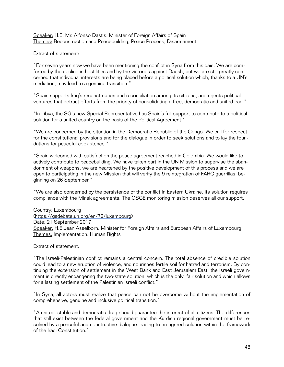Speaker: H.E. Mr. Alfonso Dastis, Minister of Foreign Affairs of Spain Themes: Reconstruction and Peacebuilding, Peace Process, Disarmament

Extract of statement:

"For seven years now we have been mentioning the conflict in Syria from this dais. We are comforted by the decline in hostilities and by the victories against Daesh, but we are still greatly concerned that individual interests are being placed before a political solution which, thanks to a UN's mediation, may lead to a genuine transition."

"Spain supports Iraq's reconstruction and reconciliation among its citizens, and rejects political ventures that detract efforts from the priority of consolidating a free, democratic and united Iraq."

"In Libya, the SG's new Special Representative has Spain's full support to contribute to a political solution for a united country on the basis of the Political Agreement."

"We are concerned by the situation in the Democratic Republic of the Congo. We call for respect for the constitutional provisions and for the dialogue in order to seek solutions and to lay the foundations for peaceful coexistence."

"Spain welcomed with satisfaction the peace agreement reached in Colombia. We would like to actively contribute to peacebuilding. We have taken part in the UN Mission to supervise the abandonment of weapons, we are heartened by the positive development of this process and we are open to participating in the new Mission that will verify the 9 reintegration of FARC guerrillas, beginning on 26 September."

"We are also concerned by the persistence of the conflict in Eastern Ukraine. Its solution requires compliance with the Minsk agreements. The OSCE monitoring mission deserves all our support."

Country: Luxembourg [\(https://gadebate.un.org/en/72/luxembourg](https://gadebate.un.org/en/72/luxembourg)) Date: 21 September 2017 Speaker: H.E.Jean Asselborn, Minister for Foreign Affairs and European Affairs of Luxembourg Themes: Implementation, Human Rights

Extract of statement:

"The Israeli-Palestinian conflict remains a central concern. The total absence of credible solution could lead to a new eruption of violence, and nourishes fertile soil for hatred and terrorism. By continuing the extension of settlement in the West Bank and East Jerusalem East, the Israeli government is directly endangering the two-state solution, which is the only fair solution and which allows for a lasting settlement of the Palestinian Israeli conflict."

"In Syria, all actors must realize that peace can not be overcome without the implementation of comprehensive, genuine and inclusive political transition.''

"A united, stable and democratic Iraq should guarantee the interest of all citizens. The differences that still exist between the federal government and the Kurdish regional government must be resolved by a peaceful and constructive dialogue leading to an agreed solution within the framework of the Iraqi Constitution."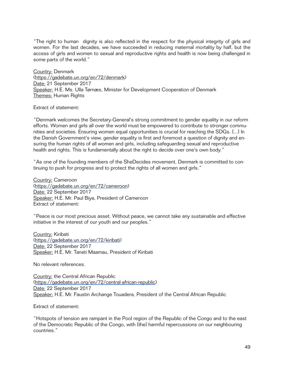"The right to human dignity is also reflected in the respect for the physical integrity of girls and women. For the last decades, we have succeeded in reducing maternal mortality by half, but the access of girls and women to sexual and reproductive rights and health is now being challenged in some parts of the world."

Country: Denmark [\(https://gadebate.un.org/en/72/denmark\)](https://gadebate.un.org/en/72/denmark) Date: 21 September 2017 Speaker: H.E. Ms. Ulla Tørnæs, Minister for Development Cooperation of Denmark Themes: Human Rights

Extract of statement:

"Denmark welcomes the Secretary-General's strong commitment to gender equality in our reform efforts. Women and girls all over the world must be empowered to contribute to stronger communities and societies. Ensuring women equal opportunities is crucial for reaching the SDGs. [...] In the Danish Government's view, gender equality is first and foremost a question of dignity and ensuring the human rights of all women and girls, including safeguarding sexual and reproductive health and rights. This is fundamentally about the right to decide over one's own body."

"As one of the founding members of the SheDecides movement, Denmark is committed to continuing to push for progress and to protect the rights of all women and girls."

Country: Cameroon [\(https://gadebate.un.org/en/72/cameroon](https://gadebate.un.org/en/72/cameroon)) Date: 22 September 2017 Speaker: H.E. Mr. Paul Biya, President of Cameroon Extract of statement:

"Peace is our most precious asset. Without peace, we cannot take any sustainable and effective initiative in the interest of our youth and our peoples."

Country: Kiribati [\(https://gadebate.un.org/en/72/kiribati\)](https://gadebate.un.org/en/72/kiribati) Date: 22 September 2017 Speaker: H.E. Mr. Taneti Maamau, President of Kiribati

No relevant references.

Country: the Central African Republic [\(https://gadebate.un.org/en/72/central-african-republic](https://gadebate.un.org/en/72/central-african-republic)) Date: 22 September 2017 Speaker: H.E. Mr. Faustin Archange Touadera, President of the Central African Republic

Extract of statement:

"Hotspots of tension are rampant in the Pool region of the Republic of the Congo and to the east of the Democratic Republic of the Congo, with [the] harmful repercussions on our neighbouring countries."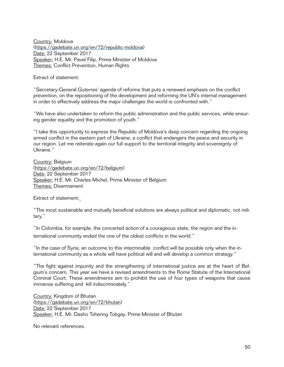Country: Moldova [\(https://gadebate.un.org/en/72/republic-moldova](https://gadebate.un.org/en/72/republic-moldova)) Date: 22 September 2017 Speaker: H.E. Mr. Pavel Filip, Prime Minister of Moldova Themes: Conflict Prevention, Human Rights

Extract of statement:

"Secretary-General Guterres' agenda of reforms that puts a renewed emphasis on the conflict prevention, on the repositioning of the development and reforming the UN's internal management in order to effectively address the major challenges the world is confronted with."

"We have also undertaken to reform the public administration and the public services, while ensuring gender equality and the promotion of youth."

"I take this opportunity to express the Republic of Moldova's deep concern regarding the ongoing armed conflict in the eastern part of Ukraine, a conflict that endangers the peace and security in our region. Let me reiterate again our full support to the territorial integrity and sovereignty of Ukraine."

Country: Belgium [\(https://gadebate.un.org/en/72/belgium\)](https://gadebate.un.org/en/72/belgium) Date: 22 September 2017 Speaker: H.E. Mr. Charles Michel, Prime Minister of Belgium Themes: Disarmament

Extract of statement:

"The most sustainable and mutually beneficial solutions are always political and diplomatic, not military."

"In Colombia, for example, the concerted action of a courageous state, the region and the international community ended the one of the oldest conflicts in the world."

"In the case of Syria, an outcome to this interminable conflict will be possible only when the international community as a whole will have political will and will develop a common strategy."

"The fight against impunity and the strengthening of international justice are at the heart of Belgium's concern. This year we have a revised amendments to the Rome Statute of the International Criminal Court. These amendments aim to prohibit the use of four types of weapons that cause immense suffering and kill indiscriminately."

Country: Kingdom of Bhutan [\(https://gadebate.un.org/en/72/bhutan](https://gadebate.un.org/en/72/bhutan)) Date: 22 September 2017 Speaker: H.E. Mr. Dasho Tshering Tobgay, Prime Minister of Bhutan

No relevant references.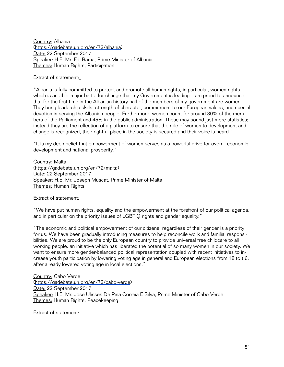Country: Albania [\(https://gadebate.un.org/en/72/albania\)](https://gadebate.un.org/en/72/albania) Date: 22 September 2017 Speaker: H.E. Mr. Edi Rama, Prime Minister of Albania Themes: Human Rights, Participation

Extract of statement:

"Albania is fully committed to protect and promote all human rights, in particular, women rights, which is another major battle for change that my Government is leading. I am proud to announce that for the first time in the Albanian history half of the members of my government are women. They bring leadership skills, strength of character, commitment to our European values, and special devotion in serving the Albanian people. Furthermore, women count for around 30% of the members of the Parliament and 45% in the public administration. These may sound just mere statistics; instead they are the reflection of a platform to ensure that the role of women to development and change is recognized, their rightful place in the society is secured and their voice is heard."

"It is my deep belief that empowerment of women serves as a powerful drive for overall economic development and national prosperity."

Country: Malta [\(https://gadebate.un.org/en/72/malta\)](https://gadebate.un.org/en/72/malta) Date: 22 September 2017 Speaker: H.E. Mr. Joseph Muscat, Prime Minister of Malta Themes: Human Rights

Extract of statement:

"We have put human rights, equality and the empowerment at the forefront of our political agenda, and in particular on the priority issues of LGBTIQ rights and gender equality."

"The economic and political empowerment of our citizens, regardless of their gender is a priority for us. We have been gradually introducing measures to help reconcile work and familial responsibilities. We are proud to be the only European country to provide universal free childcare to all working people, an initiative which has liberated the potential of so many women in our society. We want to ensure more gender-balanced political representation coupled with recent initiatives to increase youth participation by lowering voting age in general and European elections from 18 to t 6, after already lowered voting age in local elections."

Country: Cabo Verde [\(https://gadebate.un.org/en/72/cabo-verde](https://gadebate.un.org/en/72/cabo-verde)) Date: 22 September 2017 Speaker: H.E. Mr. Jose Ulisses De Pina Correia E Silva, Prime Minister of Cabo Verde Themes: Human Rights, Peacekeeping

Extract of statement: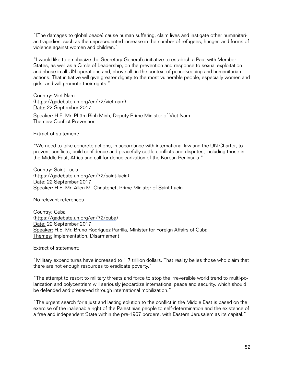"[The damages to global peace] cause human suffering, claim lives and instigate other humanitarian tragedies, such as the unprecedented increase in the number of refugees, hunger, and forms of violence against women and children."

"I would like to emphasize the Secretary-General's initiative to establish a Pact with Member States, as well as a Circle of Leadership, on the prevention and response to sexual exploitation and abuse in all UN operations and, above all, in the context of peacekeeping and humanitarian actions. That initiative will give greater dignity to the most vulnerable people, especially women and girls, and will promote their rights."

Country: Viet Nam [\(https://gadebate.un.org/en/72/viet-nam](https://gadebate.un.org/en/72/viet-nam)) Date: 22 September 2017 Speaker: H.E. Mr. Pham Bình Minh, Deputy Prime Minister of Viet Nam Themes: Conflict Prevention

Extract of statement:

"We need to take concrete actions, in accordance with international law and the UN Charter, to prevent conflicts, build confidence and peacefully settle conflicts and disputes, including those in the Middle East, Africa and call for denuclearization of the Korean Peninsula."

Country: Saint Lucia [\(https://gadebate.un.org/en/72/saint-lucia\)](https://gadebate.un.org/en/72/saint-lucia) Date: 22 September 2017 Speaker: H.E. Mr. Allen M. Chastenet, Prime Minister of Saint Lucia

No relevant references.

Country: Cuba [\(https://gadebate.un.org/en/72/cuba\)](https://gadebate.un.org/en/72/cuba) Date: 22 September 2017 Speaker: H.E. Mr. Bruno Rodriguez Parrilla, Minister for Foreign Affairs of Cuba Themes: Implementation, Disarmament

Extract of statement:

"Military expenditures have increased to 1.7 trillion dollars. That reality belies those who claim that there are not enough resources to eradicate poverty."

"The attempt to resort to military threats and force to stop the irreversible world trend to multi-polarization and polycentrism will seriously jeopardize international peace and security, which should be defended and preserved through international mobilization."

"The urgent search for a just and lasting solution to the conflict in the Middle East is based on the exercise of the inalienable right of the Palestinian people to self-determination and the existence of a free and independent State within the pre-1967 borders, with Eastern Jerusalem as its capital."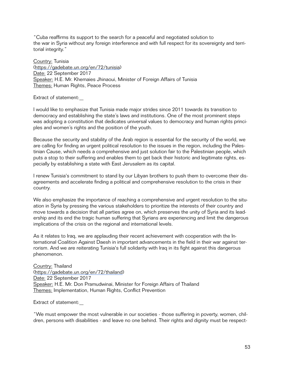"Cuba reaffirms its support to the search for a peaceful and negotiated solution to the war in Syria without any foreign interference and with full respect for its sovereignty and territorial integrity."

Country: Tunisia [\(https://gadebate.un.org/en/72/tunisia](https://gadebate.un.org/en/72/tunisia)) Date: 22 September 2017 Speaker: H.E. Mr. Khemaies Jhinaoui, Minister of Foreign Affairs of Tunisia Themes: Human Rights, Peace Process

Extract of statement:

I would like to emphasize that Tunisia made major strides since 2011 towards its transition to democracy and establishing the state's laws and institutions. One of the most prominent steps was adopting a constitution that dedicates universal values to democracy and human rights principles and women's rights and the position of the youth.

Because the security and stability of the Arab region is essential for the security of the world, we are calling for finding an urgent political resolution to the issues in the region, including the Palestinian Cause, which needs a comprehensive and just solution fair to the Palestinian people, which puts a stop to their suffering and enables them to get back their historic and legitimate rights, especially by establishing a state with East Jerusalem as its capital.

I renew Tunisia's commitment to stand by our Libyan brothers to push them to overcome their disagreements and accelerate finding a political and comprehensive resolution to the crisis in their country.

We also emphasize the importance of reaching a comprehensive and urgent resolution to the situation in Syria by pressing the various stakeholders to prioritize the interests of their country and move towards a decision that all parties agree on, which preserves the unity of Syria and its leadership and its end the tragic human suffering that Syrians are experiencing and limit the dangerous implications of the crisis on the regional and international levels.

As it relates to Iraq, we are applauding their recent achievement with cooperation with the International Coalition Against Daesh in important advancements in the field in their war against terrorism. And we are reiterating Tunisia's full solidarity with Iraq in its fight against this dangerous phenomenon.

Country: Thailand [\(https://gadebate.un.org/en/72/thailand](https://gadebate.un.org/en/72/thailand)) Date: 22 September 2017 Speaker: H.E. Mr. Don Pramudwinai, Minister for Foreign Affairs of Thailand Themes: Implementation, Human Rights, Conflict Prevention

Extract of statement:

"We must empower the most vulnerable in our societies - those suffering in poverty, women, children, persons with disabilities - and leave no one behind. Their rights and dignity must be respect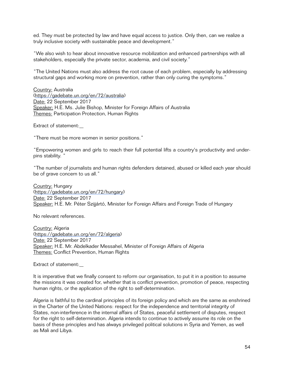ed. They must be protected by law and have equal access to justice. Only then, can we realize a truly inclusive society with sustainable peace and development."

"We also wish to hear about innovative resource mobilization and enhanced partnerships with all stakeholders, especially the private sector, academia, and civil society."

"The United Nations must also address the root cause of each problem, especially by addressing structural gaps and working more on prevention, rather than only curing the symptoms."

Country: Australia [\(https://gadebate.un.org/en/72/australia](https://gadebate.un.org/en/72/australia)) Date: 22 September 2017 Speaker: H.E. Ms. Julie Bishop, Minister for Foreign Affairs of Australia Themes: Participation Protection, Human Rights

Extract of statement:

"There must be more women in senior positions."

"Empowering women and girls to reach their full potential lifts a country's productivity and underpins stability. "

"The number of journalists and human rights defenders detained, abused or killed each year should be of grave concern to us all."

Country: Hungary [\(https://gadebate.un.org/en/72/hungary\)](https://gadebate.un.org/en/72/hungary) Date: 22 September 2017 Speaker: H.E. Mr. Péter Szijjártó, Minister for Foreign Affairs and Foreign Trade of Hungary

No relevant references.

Country: Algeria [\(https://gadebate.un.org/en/72/algeria](https://gadebate.un.org/en/72/algeria)) Date: 22 September 2017 Speaker: H.E. Mr. Abdelkader Messahel, Minister of Foreign Affairs of Algeria Themes: Conflict Prevention, Human Rights

Extract of statement:

It is imperative that we finally consent to reform our organisation, to put it in a position to assume the missions it was created for, whether that is conflict prevention, promotion of peace, respecting human rights, or the application of the right to self-determination.

Algeria is faithful to the cardinal principles of its foreign policy and which are the same as enshrined in the Charter of the United Nations: respect for the independence and territorial integrity of States, non-interference in the internal affairs of States, peaceful settlement of disputes, respect for the right to self-determination. Algeria intends to continue to actively assume its role on the basis of these principles and has always privileged political solutions in Syria and Yemen, as well as Mali and Libya.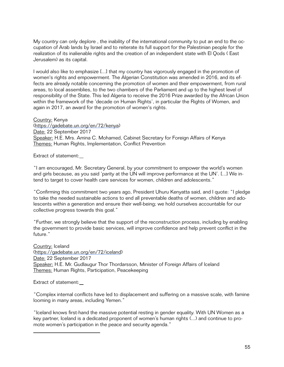My country can only deplore , the inability of the international community to put an end to the occupation of Arab lands by Israel and to reiterate its full support for the Palestinian people for the realization of its inalienable rights and the creation of an independent state with El Qods ( East Jerusalem) as its capital.

I would also like to emphasize [...] that my country has vigorously engaged in the promotion of women's rights and empowerment. The Algerian Constitution was amended in 2016, and its effects are already notable concerning the promotion of women and their empowerment, from rural areas, to local assemblies, to the two chambers of the Parliament and up to the highest level of responsibility of the State. This led Algeria to receive the 2016 Prize awarded by the African Union within the framework of the 'decade on Human Rights', in particular the Rights of Women, and again in 2017, an award for the promotion of women's rights.

Country: Kenya [\(https://gadebate.un.org/en/72/kenya\)](https://gadebate.un.org/en/72/kenya) Date: 22 September 2017 Speaker: H.E. Mrs. Amina C. Mohamed, Cabinet Secretary for Foreign Affairs of Kenya Themes: Human Rights, Implementation, Conflict Prevention

Extract of statement:

"I am encouraged, Mr. Secretary General, by your commitment to empower the world's women and girls because, as you said 'parity at the UN will improve performance at the UN'. [...] We intend to target to cover health care services for women, children and adolescents."

"Confirming this commitment two years ago, President Uhuru Kenyatta said, and I quote: "I pledge to take the needed sustainable actions to end all preventable deaths of women, children and adolescents within a generation and ensure their well-being; we hold ourselves accountable for our collective progress towards this goal."

"Further, we strongly believe that the support of the reconstruction process, including by enabling the government to provide basic services, will improve confidence and help prevent conflict in the future."

Country: Iceland [\(https://gadebate.un.org/en/72/iceland](https://gadebate.un.org/en/72/iceland)) Date: 22 September 2017 Speaker: H.E. Mr. Gudlaugur Thor Thordarsson, Minister of Foreign Affairs of Iceland Themes: Human Rights, Participation, Peacekeeping

Extract of statement:

 $\overline{a}$ 

"Complex internal conflicts have led to displacement and suffering on a massive scale, with famine looming in many areas, including Yemen."

"Iceland knows first-hand the massive potential resting in gender equality. With UN Women as a key partner, Iceland is a dedicated proponent of women's human rights (...) and continue to promote women's participation in the peace and security agenda."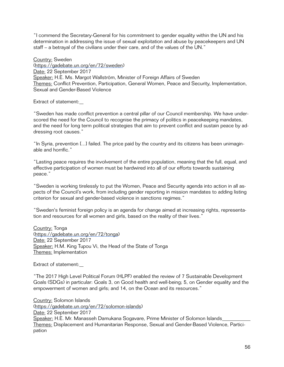"I commend the Secretary-General for his commitment to gender equality within the UN and his determination in addressing the issue of sexual exploitation and abuse by peacekeepers and UN staff – a betrayal of the civilians under their care, and of the values of the UN."

Country: Sweden [\(https://gadebate.un.org/en/72/sweden\)](https://gadebate.un.org/en/72/sweden) Date: 22 September 2017 Speaker: H.E. Ms. Margot Wallström, Minister of Foreign Affairs of Sweden Themes: Conflict Prevention, Participation, General Women, Peace and Security, Implementation, Sexual and Gender-Based Violence

Extract of statement:

"Sweden has made conflict prevention a central pillar of our Council membership. We have underscored the need for the Council to recognise the primacy of politics in peacekeeping mandates, and the need for long term political strategies that aim to prevent conflict and sustain peace by addressing root causes."

"In Syria, prevention [...] failed. The price paid by the country and its citizens has been unimaginable and horrific."

"Lasting peace requires the involvement of the entire population, meaning that the full, equal, and effective participation of women must be hardwired into all of our efforts towards sustaining peace."

"Sweden is working tirelessly to put the Women, Peace and Security agenda into action in all aspects of the Council's work, from including gender reporting in mission mandates to adding listing criterion for sexual and gender-based violence in sanctions regimes."

"Sweden's feminist foreign policy is an agenda for change aimed at increasing rights, representation and resources for all women and girls, based on the reality of their lives."

Country: Tonga [\(https://gadebate.un.org/en/72/tonga\)](https://gadebate.un.org/en/72/tonga) Date: 22 September 2017 Speaker: H.M. King Tupou Vi, the Head of the State of Tonga Themes: Implementation

Extract of statement:

"The 2017 High Level Political Forum (HLPF) enabled the review of 7 Sustainable Development Goals (SDGs) in particular: Goals 3, on Good health and well-being; 5, on Gender equality and the empowerment of women and girls; and 14, on the Ocean and its resources."

Country: Solomon Islands [\(https://gadebate.un.org/en/72/solomon-islands](https://gadebate.un.org/en/72/solomon-islands)) Date: 22 September 2017 Speaker: H.E. Mr. Manasseh Damukana Sogavare, Prime Minister of Solomon Islands Themes: Displacement and Humanitarian Response, Sexual and Gender-Based Violence, Participation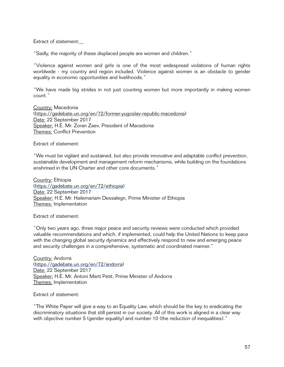Extract of statement:

"Sadly, the majority of these displaced people are women and children."

"Violence against women and girls is one of the most widespread violations of human rights worldwide - my country and region included. Violence against women is an obstacle to gender equality in economic opportunities and livelihoods."

"We have made big strides in not just counting women but more importantly in making women count."

Country: Macedonia [\(https://gadebate.un.org/en/72/former-yugoslav-republic-macedonia](https://gadebate.un.org/en/72/former-yugoslav-republic-macedonia)) Date: 22 September 2017 Speaker: H.E. Mr. Zoran Zaev, President of Macedonia Themes: Conflict Prevention

Extract of statement:

"We must be vigilant and sustained, but also provide innovative and adaptable conflict prevention, sustainable development and management reform mechanisms, while building on the foundations enshrined in the UN Charter and other core documents."

Country: Ethiopia [\(https://gadebate.un.org/en/72/ethiopia](https://gadebate.un.org/en/72/ethiopia)) Date: 22 September 2017 Speaker: H.E. Mr. Hailemariam Dessalegn, Prime Minister of Ethiopia Themes: Implementation

Extract of statement:

"Only two years ago, three major peace and security reviews were conducted which provided valuable recommendations and which, if implemented, could help the United Nations to keep pace with the changing global security dynamics and effectively respond to new and emerging peace and security challenges in a comprehensive, systematic and coordinated manner."

Country: Andorra [\(https://gadebate.un.org/en/72/andorra](https://gadebate.un.org/en/72/andorra)) Date: 22 September 2017 Speaker: H.E. Mr. Antoni Marti Petit, Prime Minister of Andorra Themes: Implementation

Extract of statement:

"The White Paper will give a way to an Equality Law, which should be the key to eradicating the discriminatory situations that still persist in our society. All of this work is aligned in a clear way with objective number 5 (gender equality) and number 10 (the reduction of inequalities)."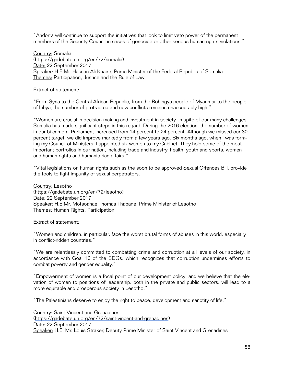"Andorra will continue to support the initiatives that look to limit veto power of the permanent members of the Security Council in cases of genocide or other serious human rights violations."

Country: Somalia [\(https://gadebate.un.org/en/72/somalia\)](https://gadebate.un.org/en/72/somalia) Date: 22 September 2017 Speaker: H.E Mr. Hassan Ali Khaire, Prime Minister of the Federal Republic of Somalia Themes: Participation, Justice and the Rule of Law

Extract of statement:

"From Syria to the Central African Republic, from the Rohingya people of Myanmar to the people of Libya, the number of protracted and new conflicts remains unacceptably high."

"Women are crucial in decision making and investment in society. In spite of our many challenges, Somalia has made significant steps in this regard. During the 2016 election, the number of women in our bi-cameral Parliament increased from 14 percent to 24 percent. Although we missed our 30 percent target, we did improve markedly from a few years ago. Six months ago, when I was forming my Council of Ministers, I appointed six women to my Cabinet. They hold some of the most important portfolios in our nation, including trade and industry, health, youth and sports, women and human rights and humanitarian affairs."

"Vital legislations on human rights such as the soon to be approved Sexual Offences Bill, provide the tools to fight impunity of sexual perpetrators."

Country: Lesotho [\(https://gadebate.un.org/en/72/lesotho](https://gadebate.un.org/en/72/lesotho)) Date: 22 September 2017 Speaker: H.E Mr. Motsoahae Thomas Thabane, Prime Minister of Lesotho Themes: Human Rights, Participation

Extract of statement:

"Women and children, in particular, face the worst brutal forms of abuses in this world, especially in conflict-ridden countries."

"We are relentlessly committed to combatting crime and corruption at all levels of our society, in accordance with Goal 16 of the SDGs, which recognizes that corruption undermines efforts to combat poverty and gender equality."

"Empowerment of women is a focal point of our development policy; and we believe that the elevation of women to positions of leadership, both in the private and public sectors, will lead to a more equitable and prosperous society in Lesotho."

"The Palestinians deserve to enjoy the right to peace, development and sanctity of life."

Country: Saint Vincent and Grenadines [\(https://gadebate.un.org/en/72/saint-vincent-and-grenadines](https://gadebate.un.org/en/72/saint-vincent-and-grenadines)) Date: 22 September 2017 Speaker: H.E. Mr. Louis Straker, Deputy Prime Minister of Saint Vincent and Grenadines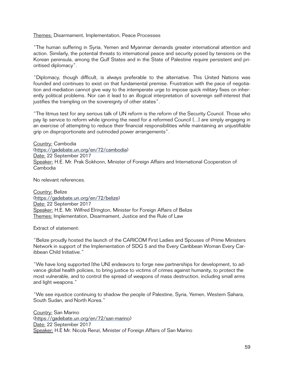#### Themes: Disarmament, Implementation, Peace Processes

"The human suffering in Syria, Yemen and Myanmar demands greater international attention and action. Similarly, the potential threats to international peace and security posed by tensions on the Korean peninsula, among the Gulf States and in the State of Palestine require persistent and prioritised diplomacy".

"Diplomacy, though difficult, is always preferable to the alternative. This United Nations was founded and continues to exist on that fundamental premise. Frustration with the pace of negotiation and mediation cannot give way to the intemperate urge to impose quick military fixes on inherently political problems. Nor can it lead to an illogical interpretation of sovereign self-interest that justifies the trampling on the sovereignty of other states".

"The litmus test for any serious talk of UN reform is the reform of the Security Council. Those who pay lip service to reform while ignoring the need for a reformed Council [...] are simply engaging in an exercise of attempting to reduce their financial responsibilities while maintaining an unjustifiable grip on disproportionate and outmoded power arrangements".

Country: Cambodia [\(https://gadebate.un.org/en/72/cambodia\)](https://gadebate.un.org/en/72/cambodia) Date: 22 September 2017 Speaker: H.E. Mr. Prak Sokhonn, Minister of Foreign Affairs and International Cooperation of Cambodia

No relevant references.

Country: Belize [\(https://gadebate.un.org/en/72/belize](https://gadebate.un.org/en/72/belize)) Date: 22 September 2017 Speaker: H.E. Mr. Wilfred Elrington, Minister for Foreign Affairs of Belize Themes: Implementation, Disarmament, Justice and the Rule of Law

Extract of statement:

"Belize proudly hosted the launch of the CARICOM First Ladies and Spouses of Prime Ministers Network in support of the Implementation of SDG 5 and the Every Caribbean Woman Every Caribbean Child Initiative."

"We have long supported [the UN] endeavors to forge new partnerships for development, to advance global health policies, to bring justice to victims of crimes against humanity, to protect the most vulnerable, and to control the spread of weapons of mass destruction, including small arms and light weapons."

"We see injustice continuing to shadow the people of Palestine, Syria, Yemen, Western Sahara, South Sudan, and North Korea."

Country: San Marino [\(https://gadebate.un.org/en/72/san-marino](https://gadebate.un.org/en/72/san-marino)) Date: 22 September 2017 Speaker: H.E Mr. Nicola Renzi, Minister of Foreign Affairs of San Marino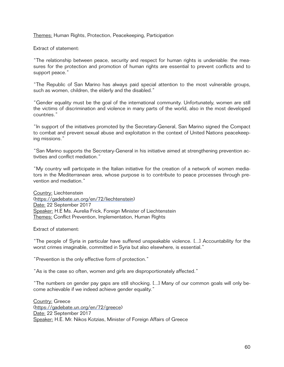Themes: Human Rights, Protection, Peacekeeping, Participation

Extract of statement:

"The relationship between peace, security and respect for human rights is undeniable: the measures for the protection and promotion of human rights are essential to prevent conflicts and to support peace."

"The Republic of San Marino has always paid special attention to the most vulnerable groups, such as women, children, the elderly and the disabled."

"Gender equality must be the goal of the international community. Unfortunately, women are still the victims of discrimination and violence in many parts of the world, also in the most developed countries."

"In support of the initiatives promoted by the Secretary-General, San Marino signed the Compact to combat and prevent sexual abuse and exploitation in the context of United Nations peacekeeping missions."

"San Marino supports the Secretary-General in his initiative aimed at strengthening prevention activities and conflict mediation."

"My country will participate in the Italian initiative for the creation of a network of women mediators in the Mediterranean area, whose purpose is to contribute to peace processes through prevention and mediation."

Country: Liechtenstein [\(https://gadebate.un.org/en/72/liechtenstein\)](https://gadebate.un.org/en/72/liechtenstein) Date: 22 September 2017 Speaker: H.E Ms. Aurelia Frick, Foreign Minister of Liechtenstein Themes: Conflict Prevention, Implementation, Human Rights

Extract of statement:

"The people of Syria in particular have suffered unspeakable violence. [...] Accountability for the worst crimes imaginable, committed in Syria but also elsewhere, is essential."

"Prevention is the only effective form of protection."

"As is the case so often, women and girls are disproportionately affected."

"The numbers on gender pay gaps are still shocking. [...] Many of our common goals will only become achievable if we indeed achieve gender equality."

Country: Greece [\(https://gadebate.un.org/en/72/greece\)](https://gadebate.un.org/en/72/greece) Date: 22 September 2017 Speaker: H.E. Mr. Nikos Kotzias, Minister of Foreign Affairs of Greece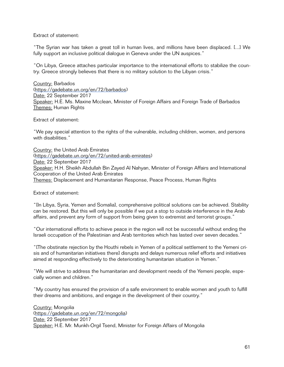Extract of statement:

"The Syrian war has taken a great toll in human lives, and millions have been displaced. [...] We fully support an inclusive political dialogue in Geneva under the UN auspices."

"On Libya, Greece attaches particular importance to the international efforts to stabilize the country. Greece strongly believes that there is no military solution to the Libyan crisis."

Country: Barbados [\(https://gadebate.un.org/en/72/barbados](https://gadebate.un.org/en/72/barbados)) Date: 22 September 2017 Speaker: H.E. Ms. Maxine Mcclean, Minister of Foreign Affairs and Foreign Trade of Barbados Themes: Human Rights

Extract of statement:

"We pay special attention to the rights of the vulnerable, including children, women, and persons with disabilities."

Country: the United Arab Emirates [\(https://gadebate.un.org/en/72/united-arab-emirates](https://gadebate.un.org/en/72/united-arab-emirates)) Date: 22 September 2017 Speaker: H.H. Sheikh Abdullah Bin Zayed Al Nahyan, Minister of Foreign Affairs and International Cooperation of the United Arab Emirates Themes: Displacement and Humanitarian Response, Peace Process, Human Rights

Extract of statement:

"[In Libya, Syria, Yemen and Somalia], comprehensive political solutions can be achieved. Stability can be restored. But this will only be possible if we put a stop to outside interference in the Arab affairs, and prevent any form of support from being given to extremist and terrorist groups."

"Our international efforts to achieve peace in the region will not be successful without ending the Israeli occupation of the Palestinian and Arab territories which has lasted over seven decades."

"[The obstinate rejection by the Houthi rebels in Yemen of a political settlement to the Yemeni crisis and of humanitarian initiatives therel disrupts and delays numerous relief efforts and initiatives aimed at responding effectively to the deteriorating humanitarian situation in Yemen."

"We will strive to address the humanitarian and development needs of the Yemeni people, especially women and children."

"My country has ensured the provision of a safe environment to enable women and youth to fulfill their dreams and ambitions, and engage in the development of their country."

Country: Mongolia [\(https://gadebate.un.org/en/72/mongolia\)](https://gadebate.un.org/en/72/mongolia) Date: 22 September 2017 Speaker: H.E. Mr. Munkh-Orgil Tsend, Minister for Foreign Affairs of Mongolia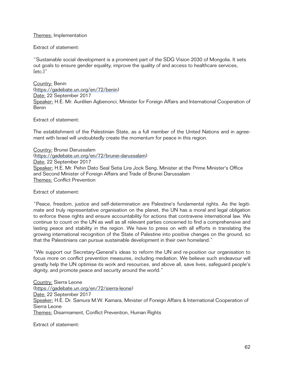# Themes: Implementation

Extract of statement:

"Sustainable social development is a prominent part of the SDG Vision 2030 of Mongolia. It sets out goals to ensure gender equality, improve the quality of and access to healthcare services, [etc.]"

Country: Benin [\(https://gadebate.un.org/en/72/benin\)](https://gadebate.un.org/en/72/benin) Date: 22 September 2017 Speaker: H.E. Mr. Aurélien Agbenonci, Minister for Foreign Affairs and International Cooperation of Benin

Extract of statement:

The establishment of the Palestinian State, as a full member of the United Nations and in agreement with Israel will undoubtedly create the momentum for peace in this region.

Country: Brunei Darussalam [\(https://gadebate.un.org/en/72/brunei-darussalam](https://gadebate.un.org/en/72/brunei-darussalam)) Date: 22 September 2017 Speaker: H.E. Mr. Pehin Dato Seal Setia Lira Jock Seng, Minister at the Prime Minister's Office and Second Minister of Foreign Affairs and Trade of Brunei Darussalam Themes: Conflict Prevention

Extract of statement:

"Peace, freedom, justice and self-determination are Palestine's fundamental rights. As the legitimate and truly representative organisation on the planet, the UN has a moral and legal obligation to enforce these rights and ensure accountability for actions that contravene international law. We continue to count on the UN as well as all relevant parties concerned to find a comprehensive and lasting peace and stability in the region. We have to press on with all efforts in translating the growing international recognition of the State of Palestine into positive changes on the ground, so that the Palestinians can pursue sustainable development in their own homeland."

"We support our Secretary-General's ideas to reform the UN and re-position our organisation to focus more on conflict prevention measures, including mediation. We believe such endeavour will greatly help the UN optimise its work and resources, and above all, save lives, safeguard people's dignity, and promote peace and security around the world."

Country: Sierra Leone [\(https://gadebate.un.org/en/72/sierra-leone\)](https://gadebate.un.org/en/72/sierra-leone) Date: 22 September 2017 Speaker: H.E. Dr. Samura M.W. Kamara, Minister of Foreign Affairs & International Cooperation of Sierra Leone Themes: Disarmament, Conflict Prevention, Human Rights

Extract of statement: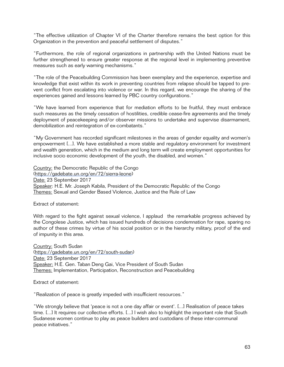"The effective utilization of Chapter VI of the Charter therefore remains the best option for this Organization in the prevention and peaceful settlement of disputes."

"Furthermore, the role of regional organizations in partnership with the United Nations must be further strengthened to ensure greater response at the regional level in implementing preventive measures such as early warning mechanisms."

"The role of the Peacebuilding Commission has been exemplary and the experience, expertise and knowledge that exist within its work in preventing countries from relapse should be tapped to prevent conflict from escalating into violence or war. In this regard, we encourage the sharing of the experiences gained and lessons learned by PBC country configurations."

"We have learned from experience that for mediation efforts to be fruitful, they must embrace such measures as the timely cessation of hostilities, credible cease-fire agreements and the timely deployment of peacekeeping and/or observer missions to undertake and supervise disarmament, demobilization and reintegration of ex-combatants."

"My Government has recorded significant milestones in the areas of gender equality and women's empowerment [...]. We have established a more stable and regulatory environment for investment and wealth generation, which in the medium and long term will create employment opportunities for inclusive socio economic development of the youth, the disabled, and women."

Country: the Democratic Republic of the Congo [\(https://gadebate.un.org/en/72/sierra-leone\)](https://gadebate.un.org/en/72/sierra-leone) Date: 23 September 2017 Speaker: H.E. Mr. Joseph Kabila, President of the Democratic Republic of the Congo Themes: Sexual and Gender Based Violence, Justice and the Rule of Law

Extract of statement:

With regard to the fight against sexual violence, I applaud the remarkable progress achieved by the Congolese Justice, which has issued hundreds of decisions condemnation for rape, sparing no author of these crimes by virtue of his social position or in the hierarchy military, proof of the end of impunity in this area.

Country: South Sudan [\(https://gadebate.un.org/en/72/south-sudan](https://gadebate.un.org/en/72/south-sudan)) Date: 23 September 2017 Speaker: H.E. Gen. Taban Deng Gai, Vice President of South Sudan Themes: Implementation, Participation, Reconstruction and Peacebuilding

Extract of statement:

"Realization of peace is greatly impeded with insufficient resources."

"We strongly believe that 'peace is not a one day affair or event'. [...] Realisation of peace takes time. [...] It requires our collective efforts. [...] I wish also to highlight the important role that South Sudanese women continue to play as peace builders and custodians of these inter-communal peace initiatives."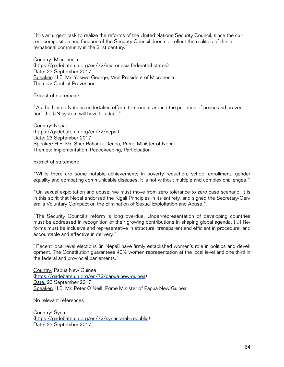"It is an urgent task to realize the reforms of the United Nations Security Council, since the current composition and function of the Security Council does not reflect the realities of the international community in the 21st century."

Country: Micronesia [\(https://gadebate.un.org/en/72/micronesia-federated-states](https://gadebate.un.org/en/72/micronesia-federated-states)) Date: 23 September 2017 Speaker: H.E. Mr. Yosiwo George, Vice President of Micronesia Themes: Conflict Prevention

Extract of statement:

"As the United Nations undertakes efforts to reorient around the priorities of peace and prevention, the UN system will have to adapt."

Country: Nepal [\(https://gadebate.un.org/en/72/nepal](https://gadebate.un.org/en/72/nepal)) Date: 23 September 2017 Speaker: H.E. Mr. Sher Bahadur Deuba, Prime Minister of Nepal Themes: Implementation, Peacekeeping, Participation

Extract of statement:

"While there are some notable achievements in poverty reduction, school enrollment, gender equality and combating communicable diseases, it is not without multiple and complex challenges."

"On sexual exploitation and abuse, we must move from zero tolerance to zero case scenario. It is in this spirit that Nepal endorsed the Kigali Principles in its entirety, and signed the Secretary-General's Voluntary Compact on the Elimination of Sexual Exploitation and Abuse."

"The Security Council's reform is long overdue. Under-representation of developing countries must be addressed in recognition of their growing contributions in shaping global agenda. [...] Reforms must be inclusive and representative in structure, transparent and efficient in procedure, and accountable and effective in delivery."

"Recent local level elections [in Nepal] have firmly established women's role in politics and development. The Constitution guarantees 40% women representation at the local level and one third in the federal and provincial parliaments."

Country: Papua New Guinea [\(https://gadebate.un.org/en/72/papua-new-guinea\)](https://gadebate.un.org/en/72/papua-new-guinea) Date: 23 September 2017 Speaker: H.E. Mr. Peter O'Neill, Prime Minister of Papua New Guinea

No relevant references

Country: Syria [\(https://gadebate.un.org/en/72/syrian-arab-republic](https://gadebate.un.org/en/72/syrian-arab-republic)) Date: 23 September 2017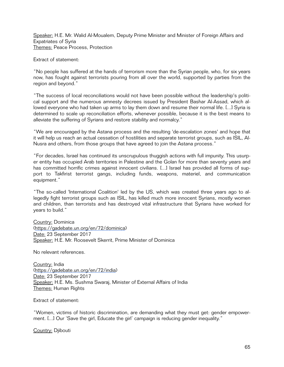Speaker: H.E. Mr. Walid Al-Moualem, Deputy Prime Minister and Minister of Foreign Affairs and Expatriates of Syria Themes: Peace Process, Protection

Extract of statement:

"No people has suffered at the hands of terrorism more than the Syrian people, who, for six years now, has fought against terrorists pouring from all over the world, supported by parties from the region and beyond."

"The success of local reconciliations would not have been possible without the leadership's political support and the numerous amnesty decrees issued by President Bashar Al-Assad, which allowed everyone who had taken up arms to lay them down and resume their normal life. [...] Syria is determined to scale up reconciliation efforts, whenever possible, because it is the best means to alleviate the suffering of Syrians and restore stability and normalcy."

"We are encouraged by the Astana process and the resulting 'de-escalation zones' and hope that it will help us reach an actual cessation of hostilities and separate terrorist groups, such as ISIL, Al-Nusra and others, from those groups that have agreed to join the Astana process."

"For decades, Israel has continued its unscrupulous thuggish actions with full impunity. This usurper entity has occupied Arab territories in Palestine and the Golan for more than seventy years and has committed horrific crimes against innocent civilians. [...] Israel has provided all forms of support to Takfirist terrorist gangs, including funds, weapons, materiel, and communication equipment."

"The so-called 'International Coalition' led by the US, which was created three years ago to allegedly fight terrorist groups such as ISIL, has killed much more innocent Syrians, mostly women and children, than terrorists and has destroyed vital infrastructure that Syrians have worked for years to build."

Country: Dominica [\(https://gadebate.un.org/en/72/dominica](https://gadebate.un.org/en/72/dominica)) Date: 23 September 2017 Speaker: H.E. Mr. Roosevelt Skerrit, Prime Minister of Dominica

No relevant references.

Country: India [\(https://gadebate.un.org/en/72/india\)](https://gadebate.un.org/en/72/india) Date: 23 September 2017 Speaker: H.E. Ms. Sushma Swaraj, Minister of External Affairs of India Themes: Human Rights

Extract of statement:

"Women, victims of historic discrimination, are demanding what they must get: gender empowerment. [...] Our 'Save the girl, Educate the girl' campaign is reducing gender inequality."

Country: Djibouti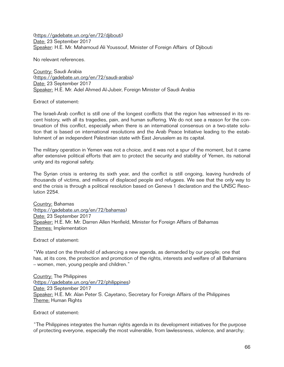[\(https://gadebate.un.org/en/72/djibouti\)](https://gadebate.un.org/en/72/djibouti) Date: 23 September 2017 Speaker: H.E. Mr. Mahamoud Ali Youssouf, Minister of Foreign Affairs of Djibouti

No relevant references.

Country: Saudi Arabia [\(https://gadebate.un.org/en/72/saudi-arabia](https://gadebate.un.org/en/72/saudi-arabia)) Date: 23 September 2017 Speaker: H.E. Mr. Adel Ahmed Al-Jubeir, Foreign Minister of Saudi Arabia

Extract of statement:

The Israeli-Arab conflict is still one of the longest conflicts that the region has witnessed in its recent history, with all its tragedies, pain, and human suffering. We do not see a reason for the continuation of this conflict, especially when there is an international consensus on a two-state solution that is based on international resolutions and the Arab Peace Initiative leading to the establishment of an independent Palestinian state with East Jerusalem as its capital.

The military operation in Yemen was not a choice, and it was not a spur of the moment, but it came after extensive political efforts that aim to protect the security and stability of Yemen, its national unity and its regional safety.

The Syrian crisis is entering its sixth year, and the conflict is still ongoing, leaving hundreds of thousands of victims, and millions of displaced people and refugees. We see that the only way to end the crisis is through a political resolution based on Geneva 1 declaration and the UNSC Resolution 2254.

Country: Bahamas [\(https://gadebate.un.org/en/72/bahamas](https://gadebate.un.org/en/72/bahamas)) Date: 23 September 2017 Speaker: H.E. Mr. Mr. Darren Allen Henfield, Minister for Foreign Affairs of Bahamas Themes: Implementation

Extract of statement:

"We stand on the threshold of advancing a new agenda, as demanded by our people; one that has, at its core, the protection and promotion of the rights, interests and welfare of all Bahamians – women, men, young people and children."

Country: The Philippines [\(https://gadebate.un.org/en/72/philippines\)](https://gadebate.un.org/en/72/philippines) Date: 23 September 2017 Speaker: H.E. Mr. Alan Peter S. Cayetano, Secretary for Foreign Affairs of the Philippines Theme: Human Rights

Extract of statement:

"The Philippines integrates the human rights agenda in its development initiatives for the purpose of protecting everyone, especially the most vulnerable, from lawlessness, violence, and anarchy;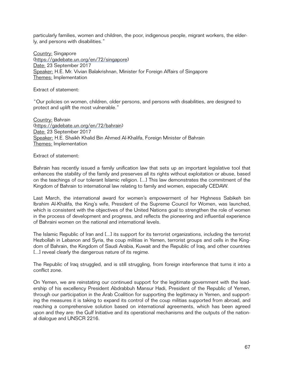particularly families, women and children, the poor, indigenous people, migrant workers, the elderly, and persons with disabilities."

Country: Singapore [\(https://gadebate.un.org/en/72/singapore](https://gadebate.un.org/en/72/singapore)) Date: 23 September 2017 Speaker: H.E. Mr. Vivian Balakrishnan, Minister for Foreign Affairs of Singapore Themes: Implementation

Extract of statement:

"Our policies on women, children, older persons, and persons with disabilities, are designed to protect and uplift the most vulnerable."

Country: Bahrain [\(https://gadebate.un.org/en/72/bahrain](https://gadebate.un.org/en/72/bahrain)) Date: 23 September 2017 Speaker: H.E. Shaikh Khalid Bin Ahmed Al-Khalifa, Foreign Minister of Bahrain Themes: Implementation

Extract of statement:

Bahrain has recently issued a family unification law that sets up an important legislative tool that enhances the stability of the family and preserves all its rights without exploitation or abuse, based on the teachings of our tolerant Islamic religion. [...] This law demonstrates the commitment of the Kingdom of Bahrain to international law relating to family and women, especially CEDAW.

Last March, the international award for women's empowerment of her Highness Sabikeh bin Ibrahim Al-Khalifa, the King's wife, President of the Supreme Council for Women, was launched, which is consistent with the objectives of the United Nations goal to strengthen the role of women in the process of development and progress, and reflects the pioneering and influential experience of Bahraini women on the national and international levels.

The Islamic Republic of Iran and [...] its support for its terrorist organizations, including the terrorist Hezbollah in Lebanon and Syria, the coup militias in Yemen, terrorist groups and cells in the Kingdom of Bahrain, the Kingdom of Saudi Arabia, Kuwait and the Republic of Iraq, and other countries [...] reveal clearly the dangerous nature of its regime.

The Republic of Iraq struggled, and is still struggling, from foreign interference that turns it into a conflict zone.

On Yemen, we are reinstating our continued support for the legitimate government with the leadership of his excellency President Abdrabbuh Mansur Hadi, President of the Republic of Yemen, through our participation in the Arab Coalition for supporting the legitimacy in Yemen, and supporting the measures it is taking to expand its control of the coup militias supported from abroad, and reaching a comprehensive solution based on international agreements, which has been agreed upon and they are: the Gulf Initiative and its operational mechanisms and the outputs of the national dialogue and UNSCR 2216.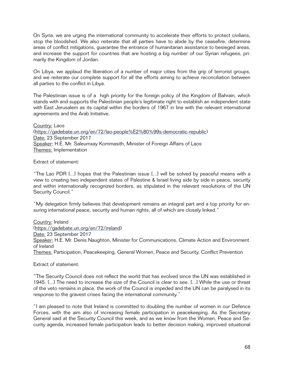On Syria, we are urging the international community to accelerate their efforts to protect civilians, stop the bloodshed. We also reiterate that all parties have to abide by the ceasefire, determine areas of conflict mitigations, guarantee the entrance of humanitarian assistance to besieged areas, and increase the support for countries that are hosting a big number of our Syrian refugees, primarily the Kingdom of Jordan.

On Libya, we applaud the liberation of a number of major cities from the grip of terrorist groups, and we reiterate our complete support for all the efforts aiming to achieve reconciliation between all parties to the conflict in Libya.

The Palestinian issue is of a high priority for the foreign policy of the Kingdom of Bahrain, which stands with and supports the Palestinian people's legitimate right to establish an independent state with East Jerusalem as its capital within the borders of 1967 in line with the relevant international agreements and the Arab Initiative.

Country: Laos [\(https://gadebate.un.org/en/72/lao-people%E2%80%99s-democratic-republic\)](https://gadebate.un.org/en/72/lao-people%252525E2%25252580%25252599s-democratic-republic) Date: 23 September 2017 Speaker: H.E. Mr. Saleumxay Kommasith, Minister of Foreign Affairs of Laos Themes: Implementation

Extract of statement:

"The Lao PDR [...] hopes that the Palestinian issue [...] will be solved by peaceful means with a view to creating two independent states of Palestine & Israel living side by side in peace, security and within internationally recognized borders, as stipulated in the relevant resolutions of the UN Security Council."

"My delegation firmly believes that development remains an integral part and a top priority for ensuring international peace, security and human rights, all of which are closely linked."

Country: Ireland [\(https://gadebate.un.org/en/72/ireland](https://gadebate.un.org/en/72/ireland)) Date: 23 September 2017 Speaker: H.E. Mr. Denis Naughton, Minister for Communications, Climate Action and Environment of Ireland Themes: Participation, Peacekeeping, General Women, Peace and Security, Conflict Prevention

Extract of statement:

"The Security Council does not reflect the world that has evolved since the UN was established in 1945. [...] The need to increase the size of the Council is clear to see. [...] While the use or threat of the veto remains in place, the work of the Council is impeded and the UN can be paralysed in its response to the gravest crises facing the international community."

"I am pleased to note that Ireland is committed to doubling the number of women in our Defence Forces, with the aim also of increasing female participation in peacekeeping. As the Secretary General said at the Security Council this week, and as we know from the Women, Peace and Security agenda, increased female participation leads to better decision making, improved situational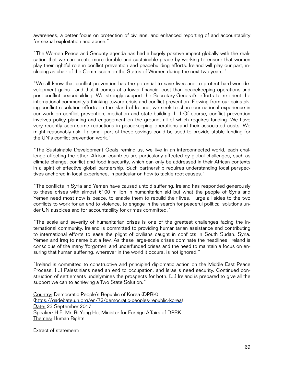awareness, a better focus on protection of civilians, and enhanced reporting of and accountability for sexual exploitation and abuse."

"The Women Peace and Security agenda has had a hugely positive impact globally with the realisation that we can create more durable and sustainable peace by working to ensure that women play their rightful role in conflict prevention and peacebuilding efforts. Ireland will play our part, including as chair of the Commission on the Status of Women during the next two years."

"We all know that conflict prevention has the potential to save lives and to protect hard-won development gains - and that it comes at a lower financial cost than peacekeeping operations and post-conflict peacebuilding. We strongly support the Secretary-General's efforts to re-orient the international community's thinking toward crisis and conflict prevention. Flowing from our painstaking conflict resolution efforts on the island of Ireland, we seek to share our national experience in our work on conflict prevention, mediation and state-building. [...] Of course, conflict prevention involves policy planning and engagement on the ground, all of which requires funding. We have very recently seen some reductions in peacekeeping operations and their associated costs. We might reasonably ask if a small part of these savings could be used to provide stable funding for the UN's conflict prevention work."

"The Sustainable Development Goals remind us, we live in an interconnected world, each challenge affecting the other. African countries are particularly affected by global challenges, such as climate change, conflict and food insecurity, which can only be addressed in their African contexts in a spirit of effective global partnership. Such partnership requires understanding local perspectives anchored in local experience, in particular on how to tackle root causes."

"The conflicts in Syria and Yemen have caused untold suffering. Ireland has responded generously to these crises with almost €100 million in humanitarian aid but what the people of Syria and Yemen need most now is peace, to enable them to rebuild their lives. I urge all sides to the two conflicts to work for an end to violence, to engage in the search for peaceful political solutions under UN auspices and for accountability for crimes committed."

"The scale and severity of humanitarian crises is one of the greatest challenges facing the international community. Ireland is committed to providing humanitarian assistance and contributing to international efforts to ease the plight of civilians caught in conflicts in South Sudan, Syria, Yemen and Iraq to name but a few. As these large-scale crises dominate the headlines, Ireland is conscious of the many 'forgotten' and underfunded crises and the need to maintain a focus on ensuring that human suffering, wherever in the world it occurs, is not ignored."

"Ireland is committed to constructive and principled diplomatic action on the Middle East Peace Process. [...] Palestinians need an end to occupation, and Israelis need security. Continued construction of settlements undelÿmines the prospects for both. [...] Ireland is prepared to give all the support we can to achieving a Two State Solution."

Country: Democratic People's Republic of Korea (DPRK) [\(https://gadebate.un.org/en/72/democratic-peoples-republic-korea\)](https://gadebate.un.org/en/72/democratic-peoples-republic-korea) Date: 23 September 2017 Speaker: H.E. Mr. Ri Yong Ho, Minister for Foreign Affairs of DPRK Themes: Human Rights

Extract of statement: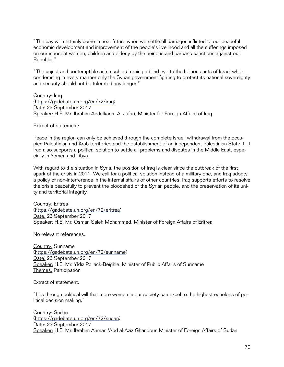"The day will certainly come in near future when we settle all damages inflicted to our peaceful economic development and improvement of the people's livelihood and all the sufferings imposed on our innocent women, children and elderly by the heinous and barbaric sanctions against our Republic."

"The unjust and contemptible acts such as turning a blind eye to the heinous acts of Israel while condemning in every manner only the Syrian government fighting to protect its national sovereignty and security should not be tolerated any longer."

Country: Iraq [\(https://gadebate.un.org/en/72/iraq](https://gadebate.un.org/en/72/iraq)) Date: 23 September 2017 Speaker: H.E. Mr. Ibrahim Abdulkarim Al-Jafari, Minister for Foreign Affairs of Iraq

Extract of statement:

Peace in the region can only be achieved through the complete Israeli withdrawal from the occupied Palestinian and Arab territories and the establishment of an independent Palestinian State. [...] Iraq also supports a political solution to settle all problems and disputes in the Middle East, especially in Yemen and Libya.

With regard to the situation in Syria, the position of Iraq is clear since the outbreak of the first spark of the crisis in 2011. We call for a political solution instead of a military one, and Iraq adopts a policy of non-interference in the internal affairs of other countries. Iraq supports efforts to resolve the crisis peacefully to prevent the bloodshed of the Syrian people, and the preservation of its unity and territorial integrity.

Country: Eritrea [\(https://gadebate.un.org/en/72/eritrea](https://gadebate.un.org/en/72/eritrea)) Date: 23 September 2017 Speaker: H.E. Mr. Osman Saleh Mohammed, Minister of Foreign Affairs of Eritrea

No relevant references.

Country: Suriname [\(https://gadebate.un.org/en/72/suriname](https://gadebate.un.org/en/72/suriname)) Date: 23 September 2017 Speaker: H.E. Mr. Yldiz Pollack-Beighle, Minister of Public Affairs of Suriname Themes: Participation

Extract of statement:

"It is through political will that more women in our society can excel to the highest echelons of political decision making."

Country: Sudan [\(https://gadebate.un.org/en/72/sudan](https://gadebate.un.org/en/72/sudan)) Date: 23 September 2017 Speaker: H.E. Mr. Ibrahim Ahman 'Abd al-Aziz Ghandour, Minister of Foreign Affairs of Sudan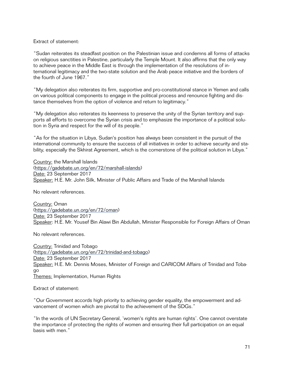Extract of statement:

"Sudan reiterates its steadfast position on the Palestinian issue and condemns all forms of attacks on religious sanctities in Palestine, particularly the Temple Mount. It also affirms that the only way to achieve peace in the Middle East is through the implementation of the resolutions of international legitimacy and the two-state solution and the Arab peace initiative and the borders of the fourth of June 1967."

"My delegation also reiterates its firm, supportive and pro-constitutional stance in Yemen and calls on various political components to engage in the political process and renounce fighting and distance themselves from the option of violence and return to legitimacy."

"My delegation also reiterates its keenness to preserve the unity of the Syrian territory and supports all efforts to overcome the Syrian crisis and to emphasize the importance of a political solution in Syria and respect for the will of its people."

"As for the situation in Libya, Sudan's position has always been consistent in the pursuit of the international community to ensure the success of all initiatives in order to achieve security and stability, especially the Skhirat Agreement, which is the cornerstone of the political solution in Libya."

Country: the Marshall Islands [\(https://gadebate.un.org/en/72/marshall-islands](https://gadebate.un.org/en/72/marshall-islands)) Date: 23 September 2017 Speaker: H.E. Mr. John Silk, Minister of Public Affairs and Trade of the Marshall Islands

No relevant references.

Country: Oman [\(https://gadebate.un.org/en/72/oman](https://gadebate.un.org/en/72/oman)) Date: 23 September 2017 Speaker: H.E. Mr. Yousef Bin Alawi Bin Abdullah, Minister Responsible for Foreign Affairs of Oman

No relevant references.

Country: Trinidad and Tobago [\(https://gadebate.un.org/en/72/trinidad-and-tobago](https://gadebate.un.org/en/72/trinidad-and-tobago)) Date: 23 September 2017 Speaker: H.E. Mr. Dennis Moses, Minister of Foreign and CARICOM Affairs of Trinidad and Tobago Themes: Implementation, Human Rights

Extract of statement:

"Our Government accords high priority to achieving gender equality, the empowerment and advancement of women which are pivotal to the achievement of the SDGs."

"In the words of UN Secretary General, 'women's rights are human rights'. One cannot overstate the importance of protecting the rights of women and ensuring their full participation on an equal basis with men."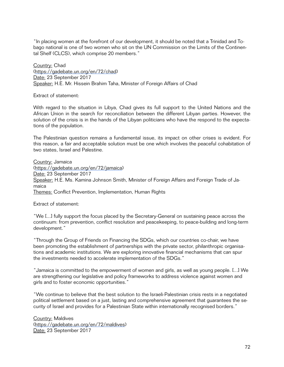"In placing women at the forefront of our development, it should be noted that a Trinidad and Tobago national is one of two women who sit on the UN Commission on the Limits of the Continental Shelf (CLCS), which comprise 20 members."

Country: Chad [\(https://gadebate.un.org/en/72/chad\)](https://gadebate.un.org/en/72/chad) Date: 23 September 2017 Speaker: H.E. Mr. Hissein Brahim Taha, Minister of Foreign Affairs of Chad

Extract of statement:

With regard to the situation in Libya, Chad gives its full support to the United Nations and the African Union in the search for reconciliation between the different Libyan parties. However, the solution of the crisis is in the hands of the Libyan politicians who have the respond to the expectations of the population.

The Palestinian question remains a fundamental issue, its impact on other crises is evident. For this reason, a fair and acceptable solution must be one which involves the peaceful cohabitation of two states, Israel and Palestine.

Country: Jamaica [\(https://gadebate.un.org/en/72/jamaica](https://gadebate.un.org/en/72/jamaica)) Date: 23 September 2017 Speaker: H.E. Ms. Kamina Johnson Smith, Minister of Foreign Affairs and Foreign Trade of Jamaica Themes: Conflict Prevention, Implementation, Human Rights

Extract of statement:

"We [...] fully support the focus placed by the Secretary-General on sustaining peace across the continuum: from prevention, conflict resolution and peacekeeping, to peace-building and long-term development."

"Through the Group of Friends on Financing the SDGs, which our countries co-chair, we have been promoting the establishment of partnerships with the private sector, philanthropic organisations and academic institutions. We are exploring innovative financial mechanisms that can spur the investments needed to accelerate implementation of the SDGs."

"Jamaica is committed to the empowerment of women and girls, as well as young people. [...] We are strengthening our legislative and policy frameworks to address violence against women and girls and to foster economic opportunities."

"We continue to believe that the best solution to the Israeli-Palestinian crisis rests in a negotiated political settlement based on a just, lasting and comprehensive agreement that guarantees the security of Israel and provides for a Palestinian State within internationally recognised borders."

Country: Maldives [\(https://gadebate.un.org/en/72/maldives](https://gadebate.un.org/en/72/maldives)) Date: 23 September 2017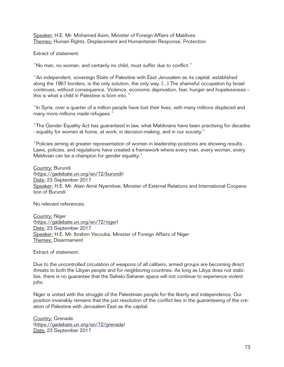Speaker: H.E. Mr. Mohamed Asim, Minister of Foreign Affairs of Maldives Themes: Human Rights, Displacement and Humanitarian Response, Protection

Extract of statement:

"No man, no woman, and certainly no child, must suffer due to conflict."

"An independent, sovereign State of Palestine with East Jerusalem as its capital, established along the 1967 borders, is the only solution, the only way. [...] The shameful occupation by Israel continues, without consequence. Violence, economic deprivation, fear, hunger and hopelessness – this is what a child in Palestine is born into."

"In Syria, over a quarter of a million people have lost their lives, with many millions displaced and many more millions made refugees."

"The Gender Equality Act has guaranteed in law, what Maldivians have been practising for decades - equality for women at home, at work, in decision-making, and in our society."

"Policies aiming at greater representation of women in leadership positions are showing results. Laws, policies, and regulations have created a framework where every man, every woman, every Maldivian can be a champion for gender equality."

Country: Burundi [\(https://gadebate.un.org/en/72/burundi\)](https://gadebate.un.org/en/72/burundi) Date: 23 September 2017 Speaker: H.E. Mr. Alain Aimé Nyamitwe, Minister of External Relations and International Cooperation of Burundi

No relevant references.

Country: Niger [\(https://gadebate.un.org/en/72/niger\)](https://gadebate.un.org/en/72/niger) Date: 23 September 2017 Speaker: H.E. Mr. Ibrahim Yacouba, Minister of Foreign Affairs of Niger Themes: Disarmament

Extract of statement:

Due to the uncontrolled circulation of weapons of all calibers, armed groups are becoming direct threats to both the Libyan people and for neighboring countries. As long as Libya does not stabilize, there is no guarantee that the Sahelo-Saharan space will not continue to experience violent jolts.

Niger is united with the struggle of the Palestinian people for the liberty and independence. Our position invariably remains that the just resolution of the conflict lies in the guaranteeing of the creation of Palestine with Jerusalem East as the capital.

Country: Grenada [\(https://gadebate.un.org/en/72/grenada](https://gadebate.un.org/en/72/grenada)) Date: 23 September 2017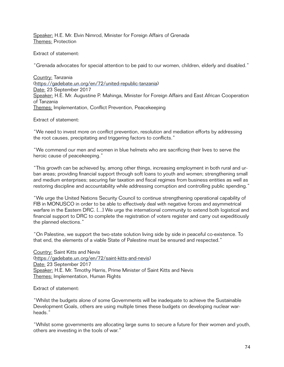Speaker: H.E. Mr. Elvin Nimrod, Minister for Foreign Affairs of Grenada Themes: Protection

Extract of statement:

"Grenada advocates for special attention to be paid to our women, children, elderly and disabled."

Country: Tanzania [\(https://gadebate.un.org/en/72/united-republic-tanzania](https://gadebate.un.org/en/72/united-republic-tanzania)) Date: 23 September 2017 Speaker: H.E. Mr. Augustine P. Mahinga, Minister for Foreign Affairs and East African Cooperation of Tanzania Themes: Implementation, Conflict Prevention, Peacekeeping

Extract of statement:

"We need to invest more on conflict prevention, resolution and mediation efforts by addressing the root causes, precipitating and triggering factors to conflicts."

"We commend our men and women in blue helmets who are sacrificing their lives to serve the heroic cause of peacekeeping."

"This growth can be achieved by, among other things, increasing employment in both rural and urban areas; providing financial support through soft loans to youth and women; strengthening small and medium enterprises; securing fair taxation and fiscal regimes from business entities as well as restoring discipline and accountability while addressing corruption and controlling public spending."

"We urge the United Nations Security Council to continue strengthening operational capability of FIB in MONUSCO in order to be able to effectively deal with negative forces and asymmetrical warfare in the Eastern DRC. [...] We urge the international community to extend both logistical and financial support to DRC to complete the registration of voters register and carry out expeditiously the planned elections."

"On Palestine, we support the two-state solution living side by side in peaceful co-existence. To that end, the elements of a viable State of Palestine must be ensured and respected."

Country: Saint Kitts and Nevis [\(https://gadebate.un.org/en/72/saint-kitts-and-nevis](https://gadebate.un.org/en/72/saint-kitts-and-nevis)) Date: 23 September 2017 Speaker: H.E. Mr. Timothy Harris, Prime Minister of Saint Kitts and Nevis Themes: Implementation, Human Rights

Extract of statement:

"Whilst the budgets alone of some Governments will be inadequate to achieve the Sustainable Development Goals, others are using multiple times these budgets on developing nuclear warheads."

"Whilst some governments are allocating large sums to secure a future for their women and youth, others are investing in the tools of war."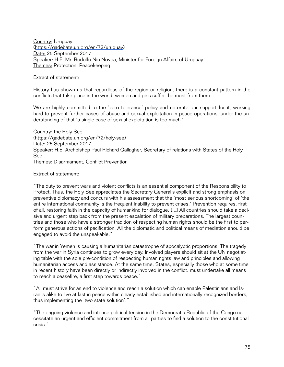Country: Uruguay [\(https://gadebate.un.org/en/72/uruguay\)](https://gadebate.un.org/en/72/uruguay) Date: 25 September 2017 Speaker: H.E. Mr. Rodolfo Nin Novoa, Minister for Foreign Affairs of Uruguay Themes: Protection, Peacekeeping

Extract of statement:

History has shown us that regardless of the region or religion, there is a constant pattern in the conflicts that take place in the world: women and girls suffer the most from them.

We are highly committed to the 'zero tolerance' policy and reiterate our support for it, working hard to prevent further cases of abuse and sexual exploitation in peace operations, under the understanding of that 'a single case of sexual exploitation is too much.'

Country: the Holy See [\(https://gadebate.un.org/en/72/holy-see\)](https://gadebate.un.org/en/72/holy-see) Date: 25 September 2017 Speaker: H.E. Archbishop Paul Richard Gallagher, Secretary of relations with States of the Holy See Themes: Disarmament, Conflict Prevention

Extract of statement:

"The duty to prevent wars and violent conflicts is an essential component of the Responsibility to Protect. Thus, the Holy See appreciates the Secretary General's explicit and strong emphasis on preventive diplomacy and concurs with his assessment that the 'most serious shortcoming' of 'the entire international community is the frequent inability to prevent crises.' Prevention requires, first of all, restoring faith in the capacity of humankind for dialogue. [...] All countries should take a decisive and urgent step back from the present escalation of military preparations. The largest countries and those who have a stronger tradition of respecting human rights should be the first to perform generous actions of pacification. All the diplomatic and political means of mediation should be engaged to avoid the unspeakable."

"The war in Yemen is causing a humanitarian catastrophe of apocalyptic proportions. The tragedy from the war in Syria continues to grow every day. Involved players should sit at the UN negotiating table with the sole pre-condition of respecting human rights law and principles and allowing humanitarian access and assistance. At the same time, States, especially those who at some time in recent history have been directly or indirectly involved in the conflict, must undertake all means to reach a ceasefire, a first step towards peace."

"All must strive for an end to violence and reach a solution which can enable Palestinians and Israelis alike to live at last in peace within clearly established and internationally recognized borders, thus implementing the 'two state solution'."

"The ongoing violence and intense political tension in the Democratic Republic of the Congo necessitate an urgent and efficient commitment from all parties to find a solution to the constitutional crisis."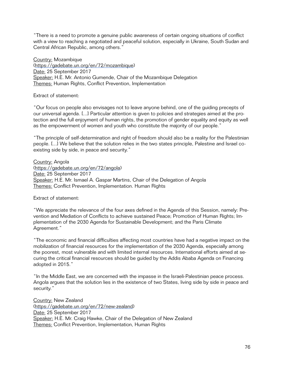"There is a need to promote a genuine public awareness of certain ongoing situations of conflict with a view to reaching a negotiated and peaceful solution, especially in Ukraine, South Sudan and Central African Republic, among others."

Country: Mozambique [\(https://gadebate.un.org/en/72/mozambique\)](https://gadebate.un.org/en/72/mozambique) Date: 25 September 2017 Speaker: H.E. Mr. Antonio Gumende, Chair of the Mozambique Delegation Themes: Human Rights, Conflict Prevention, Implementation

Extract of statement:

"Our focus on people also envisages not to leave anyone behind, one of the guiding precepts of our universal agenda. [...] Particular attention is given to policies and strategies aimed at the protection and the full enjoyment of human rights, the promotion of gender equality and equity as well as the empowerment of women and youth who constitute the majority of our people."

"The principle of self-determination and right of freedom should also be a reality for the Palestinian people. [...] We believe that the solution relies in the two states principle, Palestine and Israel coexisting side by side, in peace and security."

Country: Angola [\(https://gadebate.un.org/en/72/angola](https://gadebate.un.org/en/72/angola)) Date: 25 September 2017 Speaker: H.E. Mr. Ismael A. Gaspar Martins, Chair of the Delegation of Angola Themes: Conflict Prevention, Implementation. Human Rights

Extract of statement:

"We appreciate the relevance of the four axes defined in the Agenda of this Session, namely: Prevention and Mediation of Conflicts to achieve sustained Peace; Promotion of Human Rights; Implementation of the 2030 Agenda for Sustainable Development; and the Paris Climate Agreement."

"The economic and financial difficulties affecting most countries have had a negative impact on the mobilization of financial resources for the implementation of the 2030 Agenda, especially among the poorest, most vulnerable and with limited internal resources. International efforts aimed at securing the critical financial resources should be guided by the Addis Ababa Agenda on Financing adopted in 2015."

"In the Middle East, we are concerned with the impasse in the Israeli-Palestinian peace process. Angola argues that the solution lies in the existence of two States, living side by side in peace and security."

Country: New Zealand [\(https://gadebate.un.org/en/72/new-zealand\)](https://gadebate.un.org/en/72/new-zealand) Date: 25 September 2017 Speaker: H.E. Mr. Craig Hawke, Chair of the Delegation of New Zealand Themes: Conflict Prevention, Implementation, Human Rights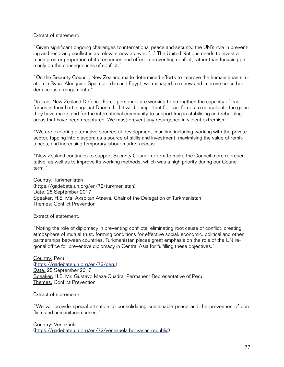## Extract of statement:

"Given significant ongoing challenges to international peace and security, the UN's role in preventing and resolving conflict is as relevant now as ever. [...] The United Nations needs to invest a much greater proportion of its resources and effort in preventing conflict, rather than focusing primarily on the consequences of conflict."

"On the Security Council, New Zealand made determined efforts to improve the humanitarian situation in Syria. Alongside Spain, Jordan and Egypt, we managed to renew and improve cross border access arrangements."

"In Iraq, New Zealand Defence Force personnel are working to strengthen the capacity of Iraqi forces in their battle against Daesh. [...] It will be important for Iraqi forces to consolidate the gains they have made, and for the international community to support Iraq in stabilising and rebuilding areas that have been recaptured. We must prevent any resurgence in violent extremism."

"We are exploring alternative sources of development financing including working with the private sector, tapping into diaspora as a source of skills and investment, maximising the value of remittances, and increasing temporary labour market access."

"New Zealand continues to support Security Council reform to make the Council more representative, as well as to improve its working methods, which was a high priority during our Council term."

Country: Turkmenistan [\(https://gadebate.un.org/en/72/turkmenistan](https://gadebate.un.org/en/72/turkmenistan)) Date: 25 September 2017 Speaker: H.E. Ms. Aksoltan Ataeva, Chair of the Delegation of Turkmenistan Themes: Conflict Prevention

Extract of statement:

"Noting the role of diplomacy in preventing conflicts, eliminating root cause of conflict, creating atmosphere of mutual trust, forming conditions for effective social, economic, political and other partnerships between countries, Turkmenistan places great emphasis on the role of the UN regional office for preventive diplomacy in Central Asia for fulfilling these objectives."

Country: Peru [\(https://gadebate.un.org/en/72/peru](https://gadebate.un.org/en/72/peru)) Date: 25 September 2017 Speaker: H.E. Mr. Gustavo Meza-Cuadra, Permanent Representative of Peru Themes: Conflict Prevention

Extract of statement:

"We will provide special attention to consolidating sustainable peace and the prevention of conflicts and humanitarian crises."

Country: Venezuela [\(https://gadebate.un.org/en/72/venezuela-bolivarian-republic](https://gadebate.un.org/en/72/venezuela-bolivarian-republic))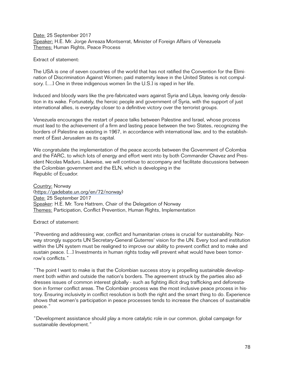Date: 25 September 2017 Speaker: H.E. Mr. Jorge Arreaza Montserrat, Minister of Foreign Affairs of Venezuela Themes: Human Rights, Peace Process

Extract of statement:

The USA is one of seven countries of the world that has not ratified the Convention for the Elimination of Discrimination Against Women; paid maternity leave in the United States is not compulsory. [....] One in three indigenous women [in the U.S.] is raped in her life.

Induced and bloody wars like the pre-fabricated wars against Syria and Libya, leaving only desolation in its wake. Fortunately, the heroic people and government of Syria, with the support of just international allies, is everyday closer to a definitive victory over the terrorist groups.

Venezuela encourages the restart of peace talks between Palestine and Israel, whose process must lead to the achievement of a firm and lasting peace between the two States, recognizing the borders of Palestine as existing in 1967, in accordance with international law, and to the establishment of East Jerusalem as its capital.

We congratulate the implementation of the peace accords between the Government of Colombia and the FARC, to which lots of energy and effort went into by both Commander Chavez and President Nicolas Maduro. Likewise, we will continue to accompany and facilitate discussions between the Colombian government and the ELN, which is developing in the Republic of Ecuador.

Country: Norway [\(https://gadebate.un.org/en/72/norway](https://gadebate.un.org/en/72/norway)) Date: 25 September 2017 Speaker: H.E. Mr. Tore Hattrem, Chair of the Delegation of Norway Themes: Participation, Conflict Prevention, Human Rights, Implementation

Extract of statement:

"Preventing and addressing war, conflict and humanitarian crises is crucial for sustainability. Norway strongly supports UN Secretary-General Guterres' vision for the UN. Every tool and institution within the UN system must be realigned to improve our ability to prevent conflict and to make and sustain peace. [...] Investments in human rights today will prevent what would have been tomorrow's conflicts."

"The point I want to make is that the Colombian success story is propelling sustainable development both within and outside the nation's borders. The agreement struck by the parties also addresses issues of common interest globally - such as fighting illicit drug trafficking and deforestation in former conflict areas. The Colombian process was the most inclusive peace process in history. Ensuring inclusivity in conflict resolution is both the right and the smart thing to do. Experience shows that women's participation in peace processes tends to increase the chances of sustainable peace."

"Development assistance should play a more catalytic role in our common, global campaign for sustainable development."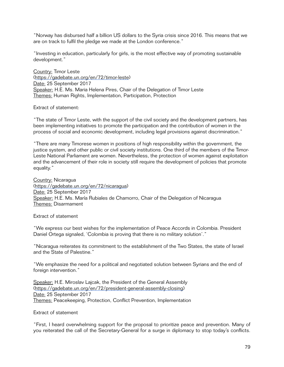"Norway has disbursed half a billion US dollars to the Syria crisis since 2016. This means that we are on track to fulfil the pledge we made at the London conference."

"Investing in education, particularly for girls, is the most effective way of promoting sustainable development."

Country: Timor Leste [\(https://gadebate.un.org/en/72/timor-leste\)](https://gadebate.un.org/en/72/timor-leste) Date: 25 September 2017 Speaker: H.E. Ms. Maria Helena Pires, Chair of the Delegation of Timor Leste Themes: Human Rights, Implementation, Participation, Protection

Extract of statement:

"The state of Timor Leste, with the support of the civil society and the development partners, has been implementing initiatives to promote the participation and the contribution of women in the process of social and economic development, including legal provisions against discrimination."

"There are many Timorese women in positions of high responsibility within the government, the justice system, and other public or civil society institutions. One third of the members of the Timor-Leste National Parliament are women. Nevertheless, the protection of women against exploitation and the advancement of their role in society still require the development of policies that promote equality."

Country: Nicaragua [\(https://gadebate.un.org/en/72/nicaragua](https://gadebate.un.org/en/72/nicaragua)) Date: 25 September 2017 Speaker: H.E. Ms. María Rubiales de Chamorro, Chair of the Delegation of Nicaragua Themes: Disarmament

Extract of statement

"We express our best wishes for the implementation of Peace Accords in Colombia. President Daniel Ortega signaled, 'Colombia is proving that there is no military solution'."

"Nicaragua reiterates its commitment to the establishment of the Two States, the state of Israel and the State of Palestine."

"We emphasize the need for a political and negotiated solution between Syrians and the end of foreign intervention."

Speaker: H.E. Miroslav Lajcak, the President of the General Assembly [\(https://gadebate.un.org/en/72/president-general-assembly-closing\)](https://gadebate.un.org/en/72/president-general-assembly-closing) Date: 25 September 2017 Themes: Peacekeeping, Protection, Conflict Prevention, Implementation

Extract of statement

"First, I heard overwhelming support for the proposal to prioritize peace and prevention. Many of you reiterated the call of the Secretary-General for a surge in diplomacy to stop today's conflicts.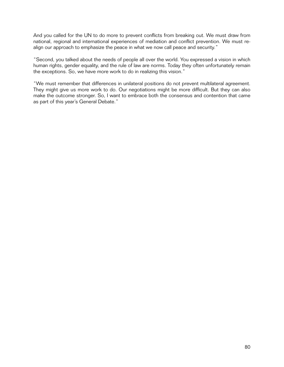And you called for the UN to do more to prevent conflicts from breaking out. We must draw from national, regional and international experiences of mediation and conflict prevention. We must realign our approach to emphasize the peace in what we now call peace and security."

"Second, you talked about the needs of people all over the world. You expressed a vision in which human rights, gender equality, and the rule of law are norms. Today they often unfortunately remain the exceptions. So, we have more work to do in realizing this vision."

"We must remember that differences in unilateral positions do not prevent multilateral agreement. They might give us more work to do. Our negotiations might be more difficult. But they can also make the outcome stronger. So, I want to embrace both the consensus and contention that came as part of this year's General Debate."